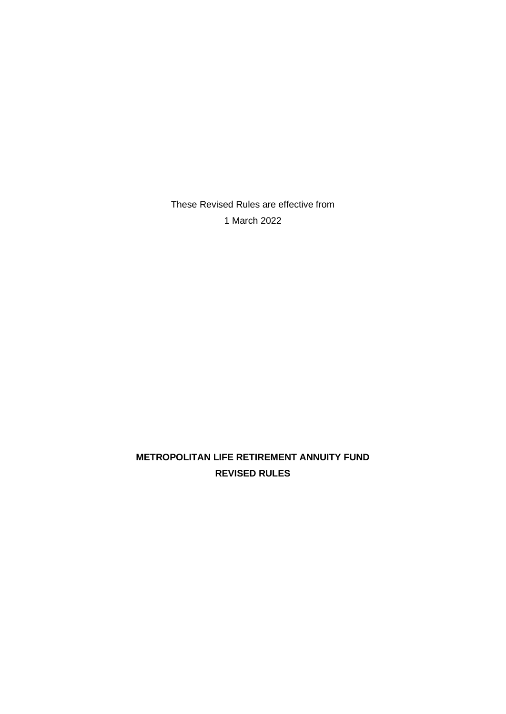These Revised Rules are effective from 1 March 2022

# **METROPOLITAN LIFE RETIREMENT ANNUITY FUND REVISED RULES**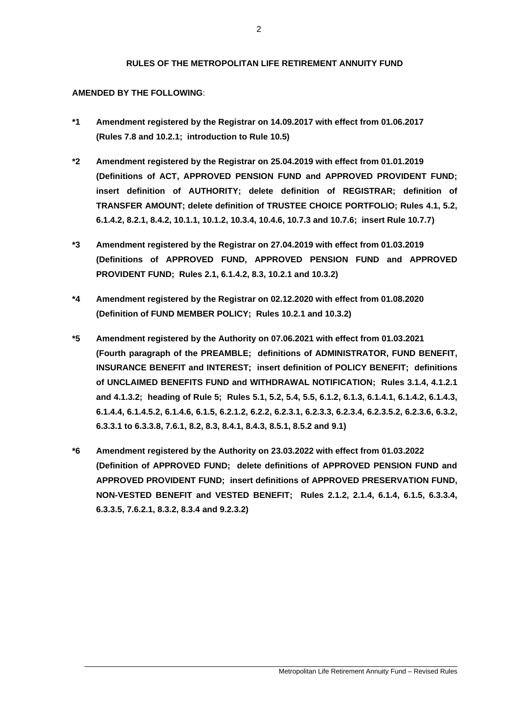#### **RULES OF THE METROPOLITAN LIFE RETIREMENT ANNUITY FUND**

#### **AMENDED BY THE FOLLOWING**:

- **\*1 Amendment registered by the Registrar on 14.09.2017 with effect from 01.06.2017 (Rules 7.8 and 10.2.1; introduction to Rule 10.5)**
- **\*2 Amendment registered by the Registrar on 25.04.2019 with effect from 01.01.2019 (Definitions of ACT, APPROVED PENSION FUND and APPROVED PROVIDENT FUND; insert definition of AUTHORITY; delete definition of REGISTRAR; definition of TRANSFER AMOUNT; delete definition of TRUSTEE CHOICE PORTFOLIO; Rules 4.1, 5.2, 6.1.4.2, 8.2.1, 8.4.2, 10.1.1, 10.1.2, 10.3.4, 10.4.6, 10.7.3 and 10.7.6; insert Rule 10.7.7)**
- **\*3 Amendment registered by the Registrar on 27.04.2019 with effect from 01.03.2019 (Definitions of APPROVED FUND, APPROVED PENSION FUND and APPROVED PROVIDENT FUND; Rules 2.1, 6.1.4.2, 8.3, 10.2.1 and 10.3.2)**
- **\*4 Amendment registered by the Registrar on 02.12.2020 with effect from 01.08.2020 (Definition of FUND MEMBER POLICY; Rules 10.2.1 and 10.3.2)**
- **\*5 Amendment registered by the Authority on 07.06.2021 with effect from 01.03.2021 (Fourth paragraph of the PREAMBLE; definitions of ADMINISTRATOR, FUND BENEFIT, INSURANCE BENEFIT and INTEREST; insert definition of POLICY BENEFIT; definitions of UNCLAIMED BENEFITS FUND and WITHDRAWAL NOTIFICATION; Rules 3.1.4, 4.1.2.1 and 4.1.3.2; heading of Rule 5; Rules 5.1, 5.2, 5.4, 5.5, 6.1.2, 6.1.3, 6.1.4.1, 6.1.4.2, 6.1.4.3, 6.1.4.4, 6.1.4.5.2, 6.1.4.6, 6.1.5, 6.2.1.2, 6.2.2, 6.2.3.1, 6.2.3.3, 6.2.3.4, 6.2.3.5.2, 6.2.3.6, 6.3.2, 6.3.3.1 to 6.3.3.8, 7.6.1, 8.2, 8.3, 8.4.1, 8.4.3, 8.5.1, 8.5.2 and 9.1)**
- **\*6 Amendment registered by the Authority on 23.03.2022 with effect from 01.03.2022 (Definition of APPROVED FUND; delete definitions of APPROVED PENSION FUND and APPROVED PROVIDENT FUND; insert definitions of APPROVED PRESERVATION FUND, NON-VESTED BENEFIT and VESTED BENEFIT; Rules 2.1.2, 2.1.4, 6.1.4, 6.1.5, 6.3.3.4, 6.3.3.5, 7.6.2.1, 8.3.2, 8.3.4 and 9.2.3.2)**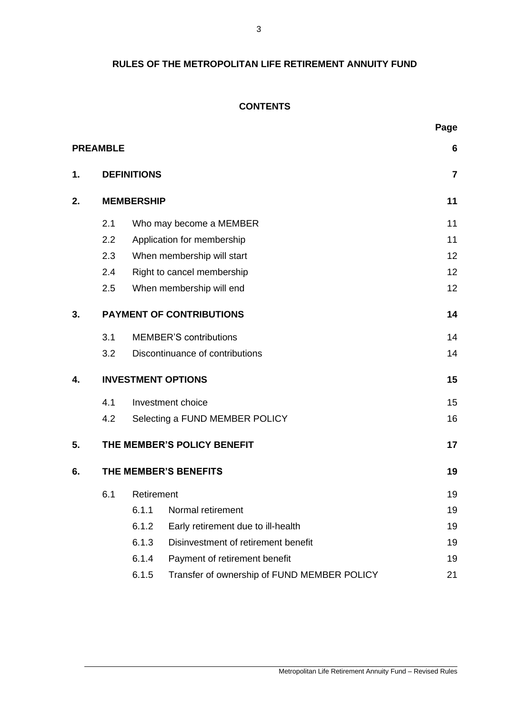# **RULES OF THE METROPOLITAN LIFE RETIREMENT ANNUITY FUND**

# **CONTENTS**

|                                 |            |                                             | Page                                                                                                                                                                                                                                                                                                                          |  |
|---------------------------------|------------|---------------------------------------------|-------------------------------------------------------------------------------------------------------------------------------------------------------------------------------------------------------------------------------------------------------------------------------------------------------------------------------|--|
| <b>PREAMBLE</b>                 |            |                                             | 6                                                                                                                                                                                                                                                                                                                             |  |
|                                 |            |                                             | $\overline{7}$                                                                                                                                                                                                                                                                                                                |  |
| <b>MEMBERSHIP</b>               |            |                                             |                                                                                                                                                                                                                                                                                                                               |  |
| 2.1                             |            |                                             | 11                                                                                                                                                                                                                                                                                                                            |  |
| 2.2                             |            |                                             | 11                                                                                                                                                                                                                                                                                                                            |  |
| 2.3                             |            |                                             | 12                                                                                                                                                                                                                                                                                                                            |  |
| 2.4                             |            |                                             | 12                                                                                                                                                                                                                                                                                                                            |  |
| 2.5                             |            |                                             | 12                                                                                                                                                                                                                                                                                                                            |  |
| <b>PAYMENT OF CONTRIBUTIONS</b> |            |                                             |                                                                                                                                                                                                                                                                                                                               |  |
| 3.1                             |            |                                             | 14                                                                                                                                                                                                                                                                                                                            |  |
| 3.2                             |            |                                             | 14                                                                                                                                                                                                                                                                                                                            |  |
| <b>INVESTMENT OPTIONS</b>       |            |                                             |                                                                                                                                                                                                                                                                                                                               |  |
| 4.1                             |            |                                             | 15                                                                                                                                                                                                                                                                                                                            |  |
| 4.2                             |            | 16                                          |                                                                                                                                                                                                                                                                                                                               |  |
|                                 |            |                                             | 17                                                                                                                                                                                                                                                                                                                            |  |
| THE MEMBER'S BENEFITS           |            |                                             |                                                                                                                                                                                                                                                                                                                               |  |
| 6.1                             | Retirement |                                             |                                                                                                                                                                                                                                                                                                                               |  |
|                                 | 6.1.1      | Normal retirement                           | 19                                                                                                                                                                                                                                                                                                                            |  |
|                                 | 6.1.2      | Early retirement due to ill-health          | 19                                                                                                                                                                                                                                                                                                                            |  |
|                                 | 6.1.3      | Disinvestment of retirement benefit         | 19                                                                                                                                                                                                                                                                                                                            |  |
|                                 | 6.1.4      | Payment of retirement benefit               | 19                                                                                                                                                                                                                                                                                                                            |  |
|                                 | 6.1.5      | Transfer of ownership of FUND MEMBER POLICY | 21                                                                                                                                                                                                                                                                                                                            |  |
|                                 |            |                                             | <b>DEFINITIONS</b><br>Who may become a MEMBER<br>Application for membership<br>When membership will start<br>Right to cancel membership<br>When membership will end<br><b>MEMBER'S contributions</b><br>Discontinuance of contributions<br>Investment choice<br>Selecting a FUND MEMBER POLICY<br>THE MEMBER'S POLICY BENEFIT |  |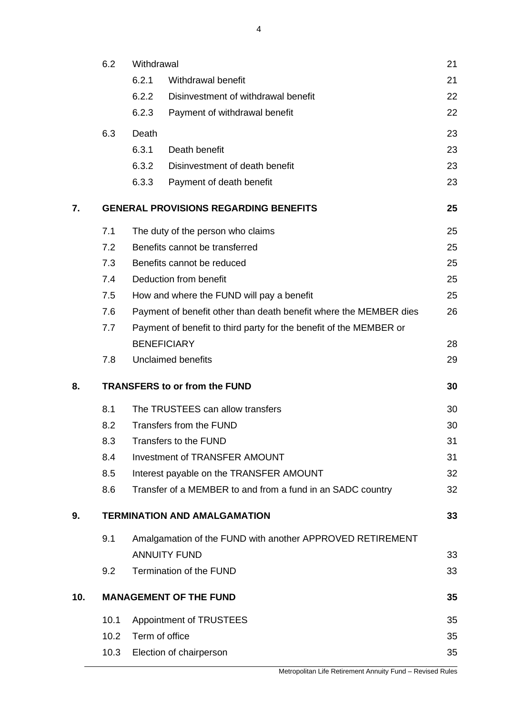|     | 6.2                                          | Withdrawal                                                              |                                                            |    |  |  |
|-----|----------------------------------------------|-------------------------------------------------------------------------|------------------------------------------------------------|----|--|--|
|     |                                              | 6.2.1                                                                   | Withdrawal benefit                                         | 21 |  |  |
|     |                                              | 6.2.2                                                                   | Disinvestment of withdrawal benefit                        | 22 |  |  |
|     |                                              | 6.2.3                                                                   | Payment of withdrawal benefit                              | 22 |  |  |
|     | 6.3                                          | Death                                                                   |                                                            | 23 |  |  |
|     |                                              | 6.3.1                                                                   | Death benefit                                              | 23 |  |  |
|     |                                              | 6.3.2                                                                   | Disinvestment of death benefit                             | 23 |  |  |
|     |                                              | 6.3.3                                                                   | Payment of death benefit                                   | 23 |  |  |
| 7.  | <b>GENERAL PROVISIONS REGARDING BENEFITS</b> |                                                                         |                                                            |    |  |  |
|     | 7.1                                          |                                                                         | The duty of the person who claims                          | 25 |  |  |
|     | 7.2                                          | Benefits cannot be transferred                                          |                                                            |    |  |  |
|     | 7.3                                          |                                                                         | Benefits cannot be reduced                                 | 25 |  |  |
|     | 7.4                                          |                                                                         | Deduction from benefit                                     | 25 |  |  |
|     | 7.5                                          |                                                                         | How and where the FUND will pay a benefit                  | 25 |  |  |
|     | 7.6                                          | Payment of benefit other than death benefit where the MEMBER dies<br>26 |                                                            |    |  |  |
|     | 7.7                                          | Payment of benefit to third party for the benefit of the MEMBER or      |                                                            |    |  |  |
|     |                                              |                                                                         | <b>BENEFICIARY</b>                                         | 28 |  |  |
|     | 7.8                                          |                                                                         | <b>Unclaimed benefits</b>                                  | 29 |  |  |
| 8.  | <b>TRANSFERS to or from the FUND</b>         |                                                                         |                                                            |    |  |  |
|     | 8.1                                          |                                                                         | The TRUSTEES can allow transfers                           | 30 |  |  |
|     | 8.2                                          | Transfers from the FUND                                                 |                                                            |    |  |  |
|     | 8.3                                          | <b>Transfers to the FUND</b>                                            |                                                            |    |  |  |
|     | 8.4                                          |                                                                         | <b>Investment of TRANSFER AMOUNT</b>                       | 31 |  |  |
|     | 8.5                                          |                                                                         | Interest payable on the TRANSFER AMOUNT                    | 32 |  |  |
|     | 8.6                                          |                                                                         | Transfer of a MEMBER to and from a fund in an SADC country | 32 |  |  |
| 9.  | <b>TERMINATION AND AMALGAMATION</b>          |                                                                         |                                                            |    |  |  |
|     | 9.1                                          |                                                                         | Amalgamation of the FUND with another APPROVED RETIREMENT  |    |  |  |
|     |                                              |                                                                         | <b>ANNUITY FUND</b>                                        | 33 |  |  |
|     | 9.2                                          | Termination of the FUND                                                 |                                                            |    |  |  |
| 10. | <b>MANAGEMENT OF THE FUND</b>                |                                                                         |                                                            |    |  |  |
|     | 10.1                                         |                                                                         | Appointment of TRUSTEES                                    | 35 |  |  |
|     | 10.2                                         | Term of office                                                          |                                                            |    |  |  |
|     | 10.3                                         |                                                                         | Election of chairperson                                    | 35 |  |  |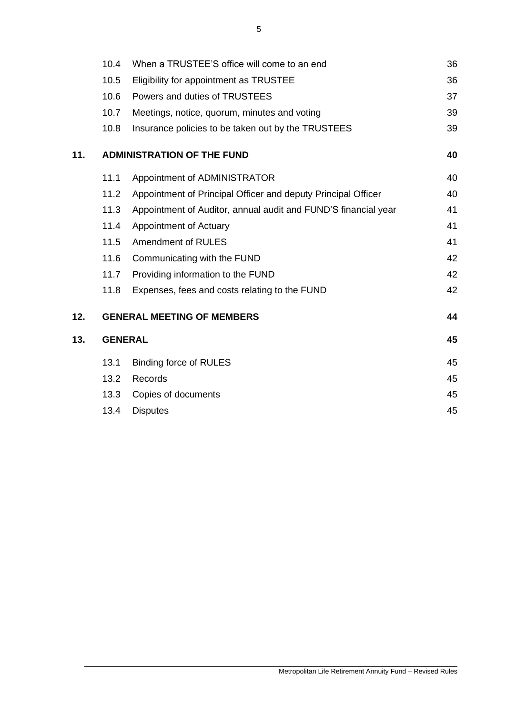|     | 10.4                              | When a TRUSTEE'S office will come to an end                    |    |  |
|-----|-----------------------------------|----------------------------------------------------------------|----|--|
|     | 10.5                              | Eligibility for appointment as TRUSTEE                         |    |  |
|     | 10.6                              | Powers and duties of TRUSTEES                                  | 37 |  |
|     | 10.7                              | Meetings, notice, quorum, minutes and voting                   | 39 |  |
|     | 10.8                              | Insurance policies to be taken out by the TRUSTEES             | 39 |  |
| 11. | <b>ADMINISTRATION OF THE FUND</b> |                                                                |    |  |
|     | 11.1                              | Appointment of ADMINISTRATOR                                   | 40 |  |
|     | 11.2                              | Appointment of Principal Officer and deputy Principal Officer  | 40 |  |
|     | 11.3                              | Appointment of Auditor, annual audit and FUND'S financial year | 41 |  |
|     | 11.4                              | Appointment of Actuary                                         | 41 |  |
|     | 11.5                              | <b>Amendment of RULES</b>                                      | 41 |  |
|     | 11.6                              | Communicating with the FUND                                    | 42 |  |
|     | 11.7                              | Providing information to the FUND                              | 42 |  |
|     | 11.8                              | Expenses, fees and costs relating to the FUND                  | 42 |  |
| 12. |                                   | <b>GENERAL MEETING OF MEMBERS</b>                              | 44 |  |
| 13. | <b>GENERAL</b>                    |                                                                |    |  |
|     | 13.1                              | <b>Binding force of RULES</b>                                  | 45 |  |
|     | 13.2                              | <b>Records</b>                                                 | 45 |  |
|     | 13.3                              | Copies of documents                                            | 45 |  |
|     | 13.4                              | <b>Disputes</b>                                                | 45 |  |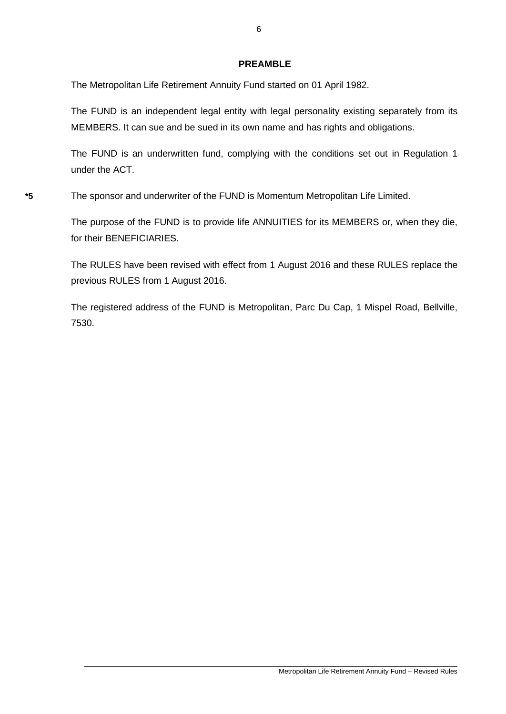# **PREAMBLE**

The Metropolitan Life Retirement Annuity Fund started on 01 April 1982.

The FUND is an independent legal entity with legal personality existing separately from its MEMBERS. It can sue and be sued in its own name and has rights and obligations.

The FUND is an underwritten fund, complying with the conditions set out in Regulation 1 under the ACT.

**\*5** The sponsor and underwriter of the FUND is Momentum Metropolitan Life Limited.

The purpose of the FUND is to provide life ANNUITIES for its MEMBERS or, when they die, for their BENEFICIARIES.

The RULES have been revised with effect from 1 August 2016 and these RULES replace the previous RULES from 1 August 2016.

The registered address of the FUND is Metropolitan, Parc Du Cap, 1 Mispel Road, Bellville, 7530.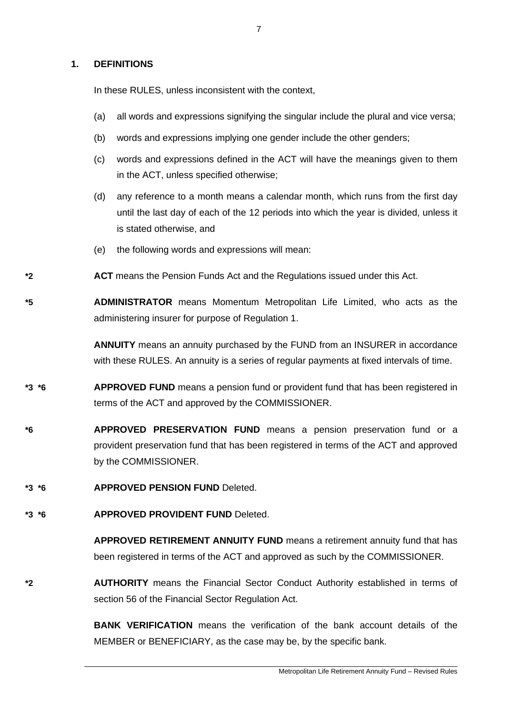## **1. DEFINITIONS**

In these RULES, unless inconsistent with the context,

- (a) all words and expressions signifying the singular include the plural and vice versa;
- (b) words and expressions implying one gender include the other genders;
- (c) words and expressions defined in the ACT will have the meanings given to them in the ACT, unless specified otherwise;
- (d) any reference to a month means a calendar month, which runs from the first day until the last day of each of the 12 periods into which the year is divided, unless it is stated otherwise, and
- (e) the following words and expressions will mean:
- **\*2 ACT** means the Pension Funds Act and the Regulations issued under this Act.

**\*5 ADMINISTRATOR** means Momentum Metropolitan Life Limited, who acts as the administering insurer for purpose of Regulation 1.

> **ANNUITY** means an annuity purchased by the FUND from an INSURER in accordance with these RULES. An annuity is a series of regular payments at fixed intervals of time.

- **\*3 \*6 APPROVED FUND** means a pension fund or provident fund that has been registered in terms of the ACT and approved by the COMMISSIONER.
- **\*6 APPROVED PRESERVATION FUND** means a pension preservation fund or a provident preservation fund that has been registered in terms of the ACT and approved by the COMMISSIONER.
- **\*3 \*6 APPROVED PENSION FUND** Deleted.
- **\*3 \*6 APPROVED PROVIDENT FUND** Deleted.

**APPROVED RETIREMENT ANNUITY FUND** means a retirement annuity fund that has been registered in terms of the ACT and approved as such by the COMMISSIONER.

**\*2 AUTHORITY** means the Financial Sector Conduct Authority established in terms of section 56 of the Financial Sector Regulation Act.

> **BANK VERIFICATION** means the verification of the bank account details of the MEMBER or BENEFICIARY, as the case may be, by the specific bank.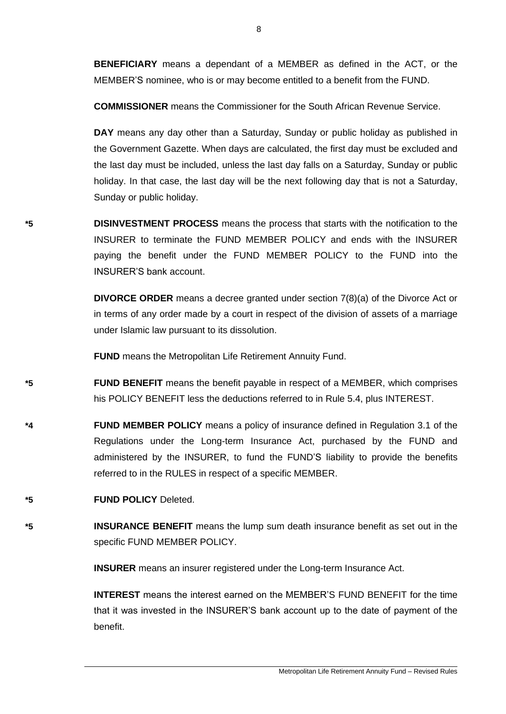**BENEFICIARY** means a dependant of a MEMBER as defined in the ACT, or the MEMBER'S nominee, who is or may become entitled to a benefit from the FUND.

**COMMISSIONER** means the Commissioner for the South African Revenue Service.

**DAY** means any day other than a Saturday, Sunday or public holiday as published in the Government Gazette. When days are calculated, the first day must be excluded and the last day must be included, unless the last day falls on a Saturday, Sunday or public holiday. In that case, the last day will be the next following day that is not a Saturday, Sunday or public holiday.

**\*5 DISINVESTMENT PROCESS** means the process that starts with the notification to the INSURER to terminate the FUND MEMBER POLICY and ends with the INSURER paying the benefit under the FUND MEMBER POLICY to the FUND into the INSURER'S bank account.

> **DIVORCE ORDER** means a decree granted under section 7(8)(a) of the Divorce Act or in terms of any order made by a court in respect of the division of assets of a marriage under Islamic law pursuant to its dissolution.

**FUND** means the Metropolitan Life Retirement Annuity Fund.

- **\*5 FUND BENEFIT** means the benefit payable in respect of a MEMBER, which comprises his POLICY BENEFIT less the deductions referred to in Rule 5.4, plus INTEREST.
- **\*4 FUND MEMBER POLICY** means a policy of insurance defined in Regulation 3.1 of the Regulations under the Long-term Insurance Act, purchased by the FUND and administered by the INSURER, to fund the FUND'S liability to provide the benefits referred to in the RULES in respect of a specific MEMBER.
- **\*5 FUND POLICY** Deleted.
- **\*5 INSURANCE BENEFIT** means the lump sum death insurance benefit as set out in the specific FUND MEMBER POLICY.

**INSURER** means an insurer registered under the Long-term Insurance Act.

**INTEREST** means the interest earned on the MEMBER'S FUND BENEFIT for the time that it was invested in the INSURER'S bank account up to the date of payment of the benefit.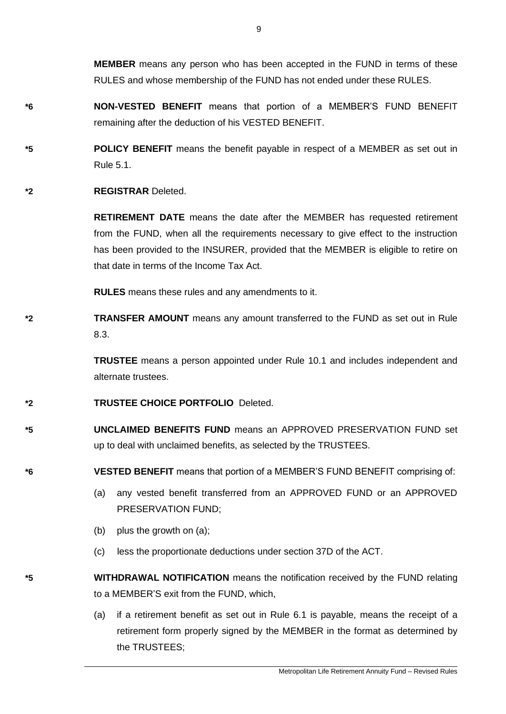**MEMBER** means any person who has been accepted in the FUND in terms of these RULES and whose membership of the FUND has not ended under these RULES.

- **\*6 NON-VESTED BENEFIT** means that portion of a MEMBER'S FUND BENEFIT remaining after the deduction of his VESTED BENEFIT.
- **\*5 POLICY BENEFIT** means the benefit payable in respect of a MEMBER as set out in Rule 5.1.
- **\*2 REGISTRAR** Deleted.

**RETIREMENT DATE** means the date after the MEMBER has requested retirement from the FUND, when all the requirements necessary to give effect to the instruction has been provided to the INSURER, provided that the MEMBER is eligible to retire on that date in terms of the Income Tax Act.

**RULES** means these rules and any amendments to it.

**\*2 TRANSFER AMOUNT** means any amount transferred to the FUND as set out in Rule 8.3.

> **TRUSTEE** means a person appointed under Rule 10.1 and includes independent and alternate trustees.

- **\*2 TRUSTEE CHOICE PORTFOLIO** Deleted.
- **\*5 UNCLAIMED BENEFITS FUND** means an APPROVED PRESERVATION FUND set up to deal with unclaimed benefits, as selected by the TRUSTEES.
- **\*6 VESTED BENEFIT** means that portion of a MEMBER'S FUND BENEFIT comprising of:
	- (a) any vested benefit transferred from an APPROVED FUND or an APPROVED PRESERVATION FUND;
	- (b) plus the growth on (a);
	- (c) less the proportionate deductions under section 37D of the ACT.
- **\*5 WITHDRAWAL NOTIFICATION** means the notification received by the FUND relating to a MEMBER'S exit from the FUND, which,
	- (a) if a retirement benefit as set out in Rule 6.1 is payable, means the receipt of a retirement form properly signed by the MEMBER in the format as determined by the TRUSTEES;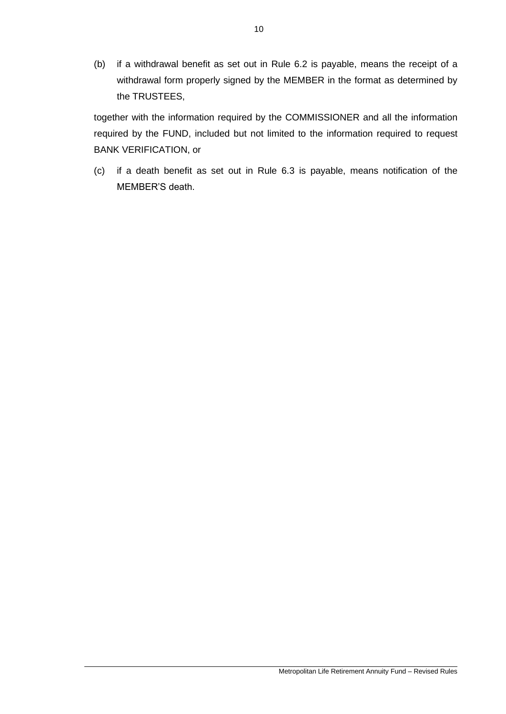(b) if a withdrawal benefit as set out in Rule 6.2 is payable, means the receipt of a withdrawal form properly signed by the MEMBER in the format as determined by the TRUSTEES,

together with the information required by the COMMISSIONER and all the information required by the FUND, included but not limited to the information required to request BANK VERIFICATION, or

(c) if a death benefit as set out in Rule 6.3 is payable, means notification of the MEMBER'S death.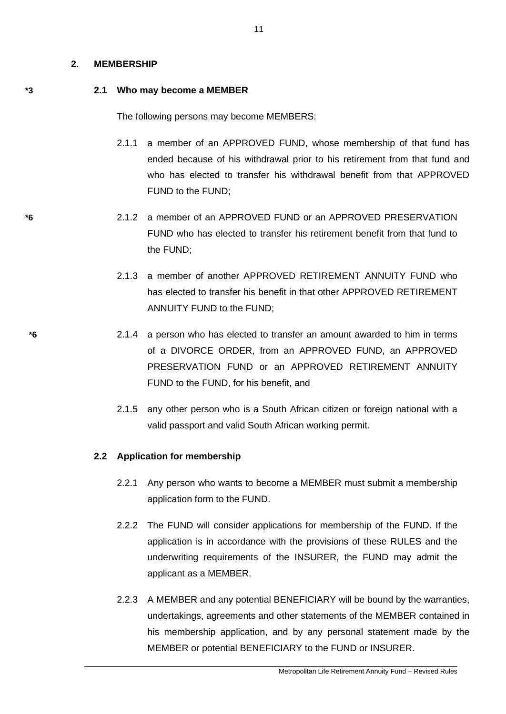#### **2. MEMBERSHIP**

### **\*3 2.1 Who may become a MEMBER**

The following persons may become MEMBERS:

- 2.1.1 a member of an APPROVED FUND, whose membership of that fund has ended because of his withdrawal prior to his retirement from that fund and who has elected to transfer his withdrawal benefit from that APPROVED FUND to the FUND;
- **\*6** 2.1.2 a member of an APPROVED FUND or an APPROVED PRESERVATION FUND who has elected to transfer his retirement benefit from that fund to the FUND;
	- 2.1.3 a member of another APPROVED RETIREMENT ANNUITY FUND who has elected to transfer his benefit in that other APPROVED RETIREMENT ANNUITY FUND to the FUND;
- **\*6** 2.1.4 a person who has elected to transfer an amount awarded to him in terms of a DIVORCE ORDER, from an APPROVED FUND, an APPROVED PRESERVATION FUND or an APPROVED RETIREMENT ANNUITY FUND to the FUND, for his benefit, and
	- 2.1.5 any other person who is a South African citizen or foreign national with a valid passport and valid South African working permit.

## **2.2 Application for membership**

- 2.2.1 Any person who wants to become a MEMBER must submit a membership application form to the FUND.
- 2.2.2 The FUND will consider applications for membership of the FUND. If the application is in accordance with the provisions of these RULES and the underwriting requirements of the INSURER, the FUND may admit the applicant as a MEMBER.
- 2.2.3 A MEMBER and any potential BENEFICIARY will be bound by the warranties, undertakings, agreements and other statements of the MEMBER contained in his membership application, and by any personal statement made by the MEMBER or potential BENEFICIARY to the FUND or INSURER.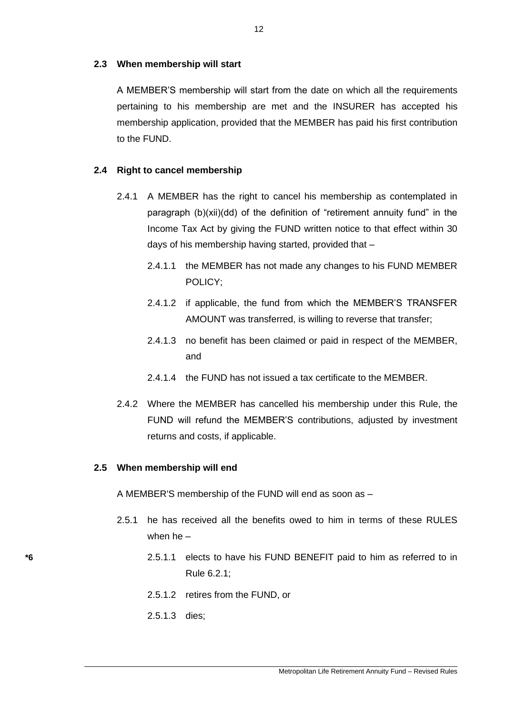### **2.3 When membership will start**

A MEMBER'S membership will start from the date on which all the requirements pertaining to his membership are met and the INSURER has accepted his membership application, provided that the MEMBER has paid his first contribution to the FUND.

#### **2.4 Right to cancel membership**

- 2.4.1 A MEMBER has the right to cancel his membership as contemplated in paragraph (b)(xii)(dd) of the definition of "retirement annuity fund" in the Income Tax Act by giving the FUND written notice to that effect within 30 days of his membership having started, provided that –
	- 2.4.1.1 the MEMBER has not made any changes to his FUND MEMBER POLICY;
	- 2.4.1.2 if applicable, the fund from which the MEMBER'S TRANSFER AMOUNT was transferred, is willing to reverse that transfer;
	- 2.4.1.3 no benefit has been claimed or paid in respect of the MEMBER, and
	- 2.4.1.4 the FUND has not issued a tax certificate to the MEMBER.
- 2.4.2 Where the MEMBER has cancelled his membership under this Rule, the FUND will refund the MEMBER'S contributions, adjusted by investment returns and costs, if applicable.

#### **2.5 When membership will end**

A MEMBER'S membership of the FUND will end as soon as –

- 2.5.1 he has received all the benefits owed to him in terms of these RULES when he –
- **\*6** 2.5.1.1 elects to have his FUND BENEFIT paid to him as referred to in Rule 6.2.1;
	- 2.5.1.2 retires from the FUND, or
	- 2.5.1.3 dies;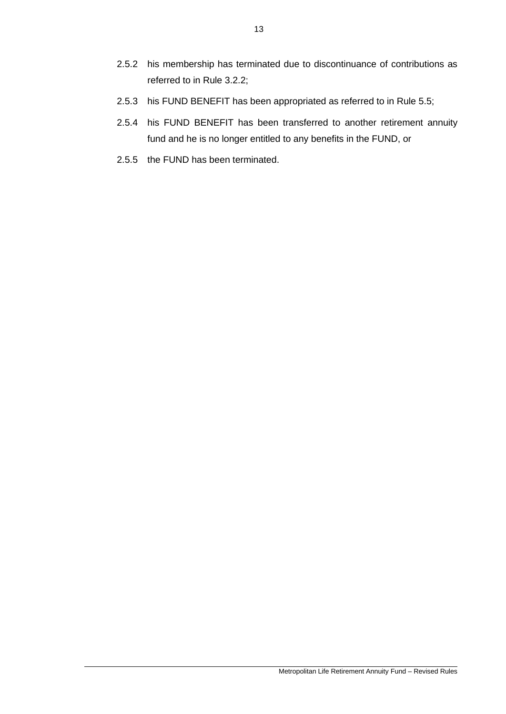- 2.5.2 his membership has terminated due to discontinuance of contributions as referred to in Rule 3.2.2;
- 2.5.3 his FUND BENEFIT has been appropriated as referred to in Rule 5.5;
- 2.5.4 his FUND BENEFIT has been transferred to another retirement annuity fund and he is no longer entitled to any benefits in the FUND, or
- 2.5.5 the FUND has been terminated.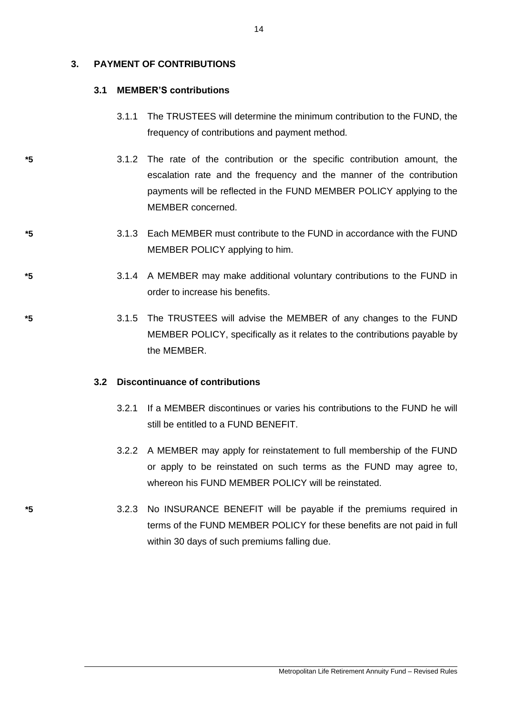## **3. PAYMENT OF CONTRIBUTIONS**

# **3.1 MEMBER'S contributions**

- 3.1.1 The TRUSTEES will determine the minimum contribution to the FUND, the frequency of contributions and payment method.
- **\*5** 3.1.2 The rate of the contribution or the specific contribution amount, the escalation rate and the frequency and the manner of the contribution payments will be reflected in the FUND MEMBER POLICY applying to the MEMBER concerned.
- **\*5** 3.1.3 Each MEMBER must contribute to the FUND in accordance with the FUND MEMBER POLICY applying to him.
- **\*5** 3.1.4 A MEMBER may make additional voluntary contributions to the FUND in order to increase his benefits.
- **\*5** 3.1.5 The TRUSTEES will advise the MEMBER of any changes to the FUND MEMBER POLICY, specifically as it relates to the contributions payable by the MEMBER.

## **3.2 Discontinuance of contributions**

- 3.2.1 If a MEMBER discontinues or varies his contributions to the FUND he will still be entitled to a FUND BENEFIT.
- 3.2.2 A MEMBER may apply for reinstatement to full membership of the FUND or apply to be reinstated on such terms as the FUND may agree to, whereon his FUND MEMBER POLICY will be reinstated.
- **\*5** 3.2.3 No INSURANCE BENEFIT will be payable if the premiums required in terms of the FUND MEMBER POLICY for these benefits are not paid in full within 30 days of such premiums falling due.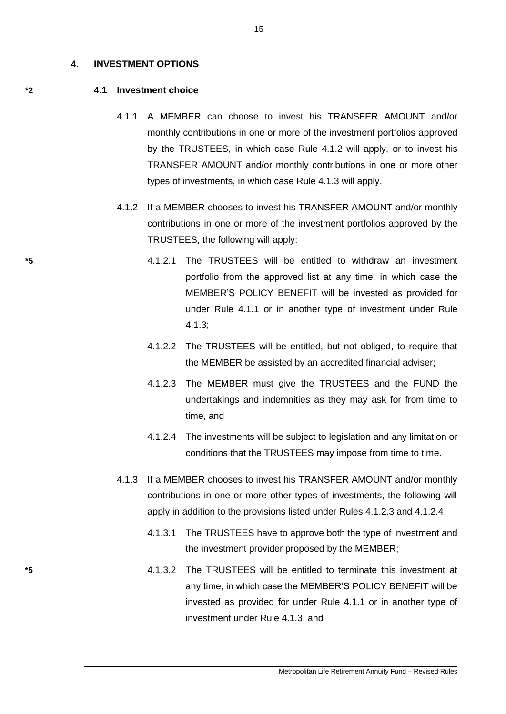#### **4. INVESTMENT OPTIONS**

#### **\*2 4.1 Investment choice**

- 4.1.1 A MEMBER can choose to invest his TRANSFER AMOUNT and/or monthly contributions in one or more of the investment portfolios approved by the TRUSTEES, in which case Rule 4.1.2 will apply, or to invest his TRANSFER AMOUNT and/or monthly contributions in one or more other types of investments, in which case Rule 4.1.3 will apply.
- 4.1.2 If a MEMBER chooses to invest his TRANSFER AMOUNT and/or monthly contributions in one or more of the investment portfolios approved by the TRUSTEES, the following will apply:
- **\*5** 4.1.2.1 The TRUSTEES will be entitled to withdraw an investment portfolio from the approved list at any time, in which case the MEMBER'S POLICY BENEFIT will be invested as provided for under Rule 4.1.1 or in another type of investment under Rule 4.1.3;
	- 4.1.2.2 The TRUSTEES will be entitled, but not obliged, to require that the MEMBER be assisted by an accredited financial adviser;
	- 4.1.2.3 The MEMBER must give the TRUSTEES and the FUND the undertakings and indemnities as they may ask for from time to time, and
	- 4.1.2.4 The investments will be subject to legislation and any limitation or conditions that the TRUSTEES may impose from time to time.
	- 4.1.3 If a MEMBER chooses to invest his TRANSFER AMOUNT and/or monthly contributions in one or more other types of investments, the following will apply in addition to the provisions listed under Rules 4.1.2.3 and 4.1.2.4:
		- 4.1.3.1 The TRUSTEES have to approve both the type of investment and the investment provider proposed by the MEMBER;
- **\*5** 4.1.3.2 The TRUSTEES will be entitled to terminate this investment at any time, in which case the MEMBER'S POLICY BENEFIT will be invested as provided for under Rule 4.1.1 or in another type of investment under Rule 4.1.3, and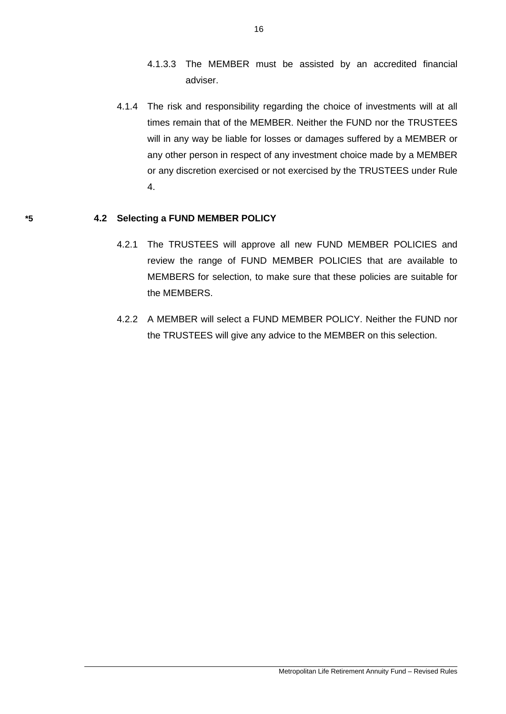- 4.1.3.3 The MEMBER must be assisted by an accredited financial adviser.
- 4.1.4 The risk and responsibility regarding the choice of investments will at all times remain that of the MEMBER. Neither the FUND nor the TRUSTEES will in any way be liable for losses or damages suffered by a MEMBER or any other person in respect of any investment choice made by a MEMBER or any discretion exercised or not exercised by the TRUSTEES under Rule 4.

# **\*5 4.2 Selecting a FUND MEMBER POLICY**

- 4.2.1 The TRUSTEES will approve all new FUND MEMBER POLICIES and review the range of FUND MEMBER POLICIES that are available to MEMBERS for selection, to make sure that these policies are suitable for the MEMBERS.
- 4.2.2 A MEMBER will select a FUND MEMBER POLICY. Neither the FUND nor the TRUSTEES will give any advice to the MEMBER on this selection.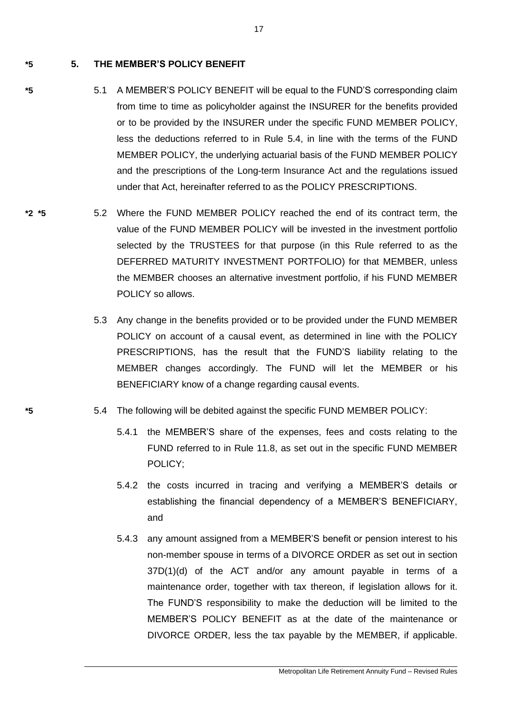**\*5 5. THE MEMBER'S POLICY BENEFIT**

- **\*5** 5.1 A MEMBER'S POLICY BENEFIT will be equal to the FUND'S corresponding claim from time to time as policyholder against the INSURER for the benefits provided or to be provided by the INSURER under the specific FUND MEMBER POLICY, less the deductions referred to in Rule 5.4, in line with the terms of the FUND MEMBER POLICY, the underlying actuarial basis of the FUND MEMBER POLICY and the prescriptions of the Long-term Insurance Act and the regulations issued under that Act, hereinafter referred to as the POLICY PRESCRIPTIONS.
- **\*2 \*5** 5.2 Where the FUND MEMBER POLICY reached the end of its contract term, the value of the FUND MEMBER POLICY will be invested in the investment portfolio selected by the TRUSTEES for that purpose (in this Rule referred to as the DEFERRED MATURITY INVESTMENT PORTFOLIO) for that MEMBER, unless the MEMBER chooses an alternative investment portfolio, if his FUND MEMBER POLICY so allows.
	- 5.3 Any change in the benefits provided or to be provided under the FUND MEMBER POLICY on account of a causal event, as determined in line with the POLICY PRESCRIPTIONS, has the result that the FUND'S liability relating to the MEMBER changes accordingly. The FUND will let the MEMBER or his BENEFICIARY know of a change regarding causal events.
- **\*5** 5.4 The following will be debited against the specific FUND MEMBER POLICY:
	- 5.4.1 the MEMBER'S share of the expenses, fees and costs relating to the FUND referred to in Rule 11.8, as set out in the specific FUND MEMBER POLICY;
	- 5.4.2 the costs incurred in tracing and verifying a MEMBER'S details or establishing the financial dependency of a MEMBER'S BENEFICIARY, and
	- 5.4.3 any amount assigned from a MEMBER'S benefit or pension interest to his non-member spouse in terms of a DIVORCE ORDER as set out in section 37D(1)(d) of the ACT and/or any amount payable in terms of a maintenance order, together with tax thereon, if legislation allows for it. The FUND'S responsibility to make the deduction will be limited to the MEMBER'S POLICY BENEFIT as at the date of the maintenance or DIVORCE ORDER, less the tax payable by the MEMBER, if applicable.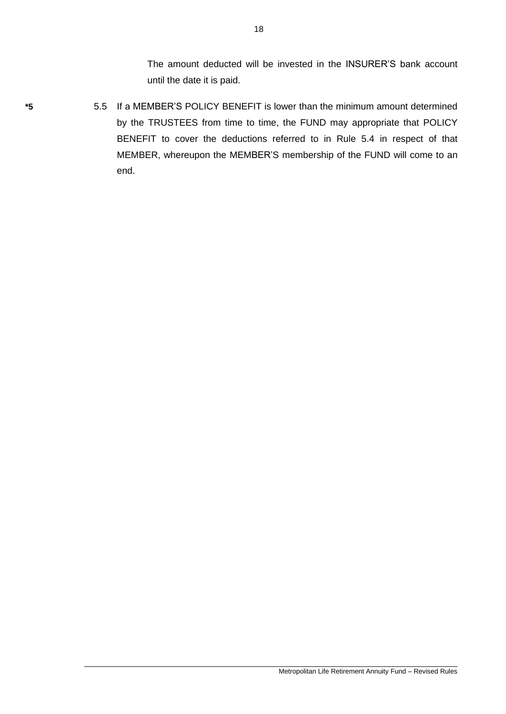The amount deducted will be invested in the INSURER'S bank account until the date it is paid.

- 
- **\*5** 5.5 If a MEMBER'S POLICY BENEFIT is lower than the minimum amount determined by the TRUSTEES from time to time, the FUND may appropriate that POLICY BENEFIT to cover the deductions referred to in Rule 5.4 in respect of that MEMBER, whereupon the MEMBER'S membership of the FUND will come to an end.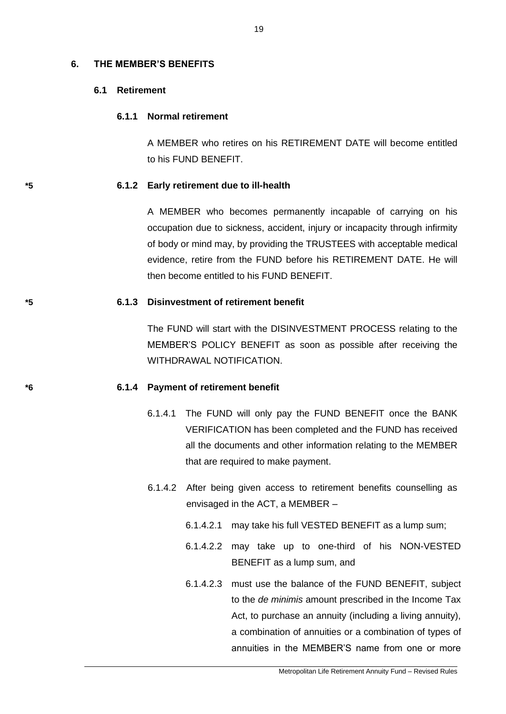#### **6. THE MEMBER'S BENEFITS**

### **6.1 Retirement**

### **6.1.1 Normal retirement**

A MEMBER who retires on his RETIREMENT DATE will become entitled to his FUND BENEFIT.

#### **\*5 6.1.2 Early retirement due to ill-health**

A MEMBER who becomes permanently incapable of carrying on his occupation due to sickness, accident, injury or incapacity through infirmity of body or mind may, by providing the TRUSTEES with acceptable medical evidence, retire from the FUND before his RETIREMENT DATE. He will then become entitled to his FUND BENEFIT.

#### **\*5 6.1.3 Disinvestment of retirement benefit**

The FUND will start with the DISINVESTMENT PROCESS relating to the MEMBER'S POLICY BENEFIT as soon as possible after receiving the WITHDRAWAL NOTIFICATION.

## **\*6 6.1.4 Payment of retirement benefit**

- 6.1.4.1 The FUND will only pay the FUND BENEFIT once the BANK VERIFICATION has been completed and the FUND has received all the documents and other information relating to the MEMBER that are required to make payment.
- 6.1.4.2 After being given access to retirement benefits counselling as envisaged in the ACT, a MEMBER –
	- 6.1.4.2.1 may take his full VESTED BENEFIT as a lump sum;
	- 6.1.4.2.2 may take up to one-third of his NON-VESTED BENEFIT as a lump sum, and
	- 6.1.4.2.3 must use the balance of the FUND BENEFIT, subject to the *de minimis* amount prescribed in the Income Tax Act, to purchase an annuity (including a living annuity), a combination of annuities or a combination of types of annuities in the MEMBER'S name from one or more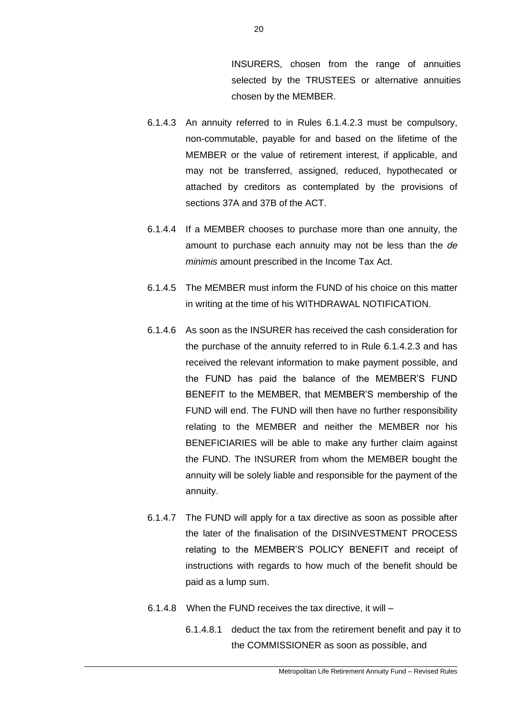INSURERS, chosen from the range of annuities selected by the TRUSTEES or alternative annuities chosen by the MEMBER.

- 6.1.4.3 An annuity referred to in Rules 6.1.4.2.3 must be compulsory, non-commutable, payable for and based on the lifetime of the MEMBER or the value of retirement interest, if applicable, and may not be transferred, assigned, reduced, hypothecated or attached by creditors as contemplated by the provisions of sections 37A and 37B of the ACT.
- 6.1.4.4 If a MEMBER chooses to purchase more than one annuity, the amount to purchase each annuity may not be less than the *de minimis* amount prescribed in the Income Tax Act.
- 6.1.4.5 The MEMBER must inform the FUND of his choice on this matter in writing at the time of his WITHDRAWAL NOTIFICATION.
- 6.1.4.6 As soon as the INSURER has received the cash consideration for the purchase of the annuity referred to in Rule 6.1.4.2.3 and has received the relevant information to make payment possible, and the FUND has paid the balance of the MEMBER'S FUND BENEFIT to the MEMBER, that MEMBER'S membership of the FUND will end. The FUND will then have no further responsibility relating to the MEMBER and neither the MEMBER nor his BENEFICIARIES will be able to make any further claim against the FUND. The INSURER from whom the MEMBER bought the annuity will be solely liable and responsible for the payment of the annuity.
- 6.1.4.7 The FUND will apply for a tax directive as soon as possible after the later of the finalisation of the DISINVESTMENT PROCESS relating to the MEMBER'S POLICY BENEFIT and receipt of instructions with regards to how much of the benefit should be paid as a lump sum.
- 6.1.4.8 When the FUND receives the tax directive, it will
	- 6.1.4.8.1 deduct the tax from the retirement benefit and pay it to the COMMISSIONER as soon as possible, and

20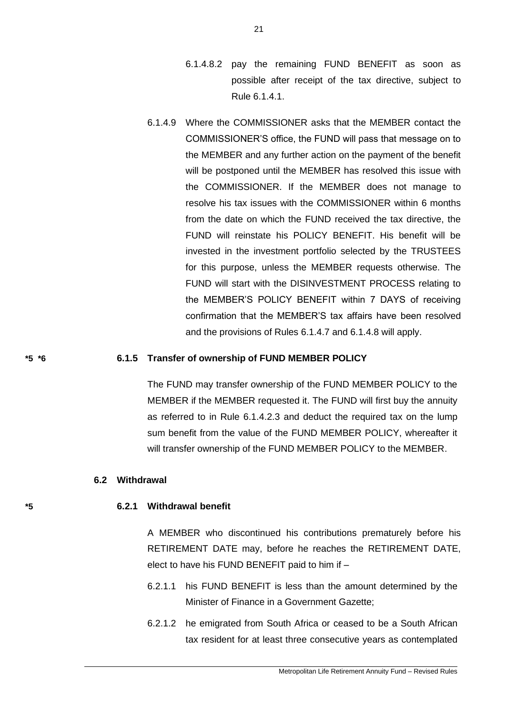- 6.1.4.8.2 pay the remaining FUND BENEFIT as soon as possible after receipt of the tax directive, subject to Rule 6.1.4.1.
- 6.1.4.9 Where the COMMISSIONER asks that the MEMBER contact the COMMISSIONER'S office, the FUND will pass that message on to the MEMBER and any further action on the payment of the benefit will be postponed until the MEMBER has resolved this issue with the COMMISSIONER. If the MEMBER does not manage to resolve his tax issues with the COMMISSIONER within 6 months from the date on which the FUND received the tax directive, the FUND will reinstate his POLICY BENEFIT. His benefit will be invested in the investment portfolio selected by the TRUSTEES for this purpose, unless the MEMBER requests otherwise. The FUND will start with the DISINVESTMENT PROCESS relating to the MEMBER'S POLICY BENEFIT within 7 DAYS of receiving confirmation that the MEMBER'S tax affairs have been resolved and the provisions of Rules 6.1.4.7 and 6.1.4.8 will apply.

#### **\*5 \*6 6.1.5 Transfer of ownership of FUND MEMBER POLICY**

The FUND may transfer ownership of the FUND MEMBER POLICY to the MEMBER if the MEMBER requested it. The FUND will first buy the annuity as referred to in Rule 6.1.4.2.3 and deduct the required tax on the lump sum benefit from the value of the FUND MEMBER POLICY, whereafter it will transfer ownership of the FUND MEMBER POLICY to the MEMBER.

### **6.2 Withdrawal**

#### **\*5 6.2.1 Withdrawal benefit**

A MEMBER who discontinued his contributions prematurely before his RETIREMENT DATE may, before he reaches the RETIREMENT DATE, elect to have his FUND BENEFIT paid to him if –

- 6.2.1.1 his FUND BENEFIT is less than the amount determined by the Minister of Finance in a Government Gazette;
- 6.2.1.2 he emigrated from South Africa or ceased to be a South African tax resident for at least three consecutive years as contemplated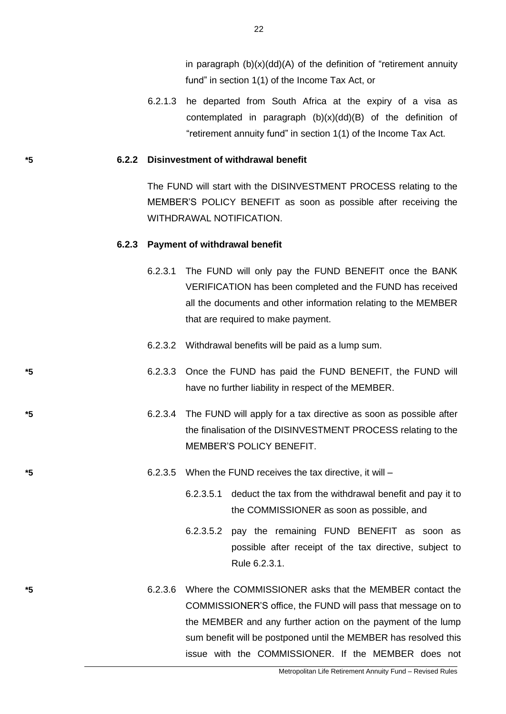in paragraph  $(b)(x)(dd)(A)$  of the definition of "retirement annuity fund" in section 1(1) of the Income Tax Act, or

6.2.1.3 he departed from South Africa at the expiry of a visa as contemplated in paragraph (b)(x)(dd)(B) of the definition of "retirement annuity fund" in section 1(1) of the Income Tax Act.

#### **\*5 6.2.2 Disinvestment of withdrawal benefit**

The FUND will start with the DISINVESTMENT PROCESS relating to the MEMBER'S POLICY BENEFIT as soon as possible after receiving the WITHDRAWAL NOTIFICATION.

#### **6.2.3 Payment of withdrawal benefit**

- 6.2.3.1 The FUND will only pay the FUND BENEFIT once the BANK VERIFICATION has been completed and the FUND has received all the documents and other information relating to the MEMBER that are required to make payment.
- 6.2.3.2 Withdrawal benefits will be paid as a lump sum.
- **\*5** 6.2.3.3 Once the FUND has paid the FUND BENEFIT, the FUND will have no further liability in respect of the MEMBER.
- **\*5** 6.2.3.4 The FUND will apply for a tax directive as soon as possible after the finalisation of the DISINVESTMENT PROCESS relating to the MEMBER'S POLICY BENEFIT.
- **\*5** 6.2.3.5 When the FUND receives the tax directive, it will
	- 6.2.3.5.1 deduct the tax from the withdrawal benefit and pay it to the COMMISSIONER as soon as possible, and
	- 6.2.3.5.2 pay the remaining FUND BENEFIT as soon as possible after receipt of the tax directive, subject to Rule 6.2.3.1.
- **\*5** 6.2.3.6 Where the COMMISSIONER asks that the MEMBER contact the COMMISSIONER'S office, the FUND will pass that message on to the MEMBER and any further action on the payment of the lump sum benefit will be postponed until the MEMBER has resolved this issue with the COMMISSIONER. If the MEMBER does not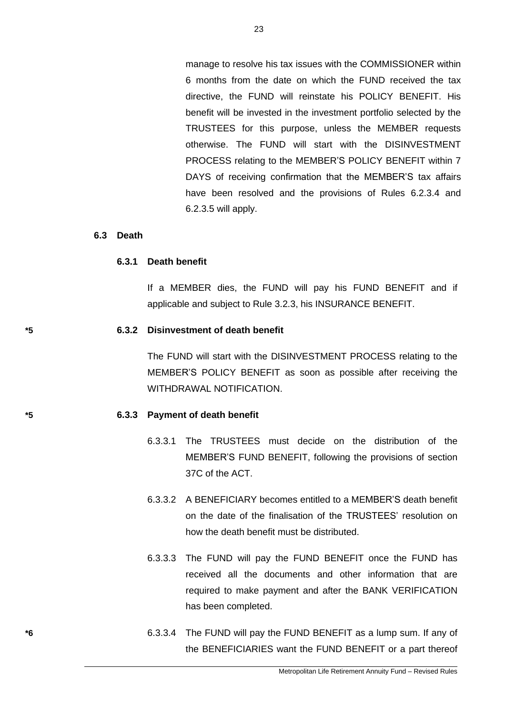manage to resolve his tax issues with the COMMISSIONER within 6 months from the date on which the FUND received the tax directive, the FUND will reinstate his POLICY BENEFIT. His benefit will be invested in the investment portfolio selected by the TRUSTEES for this purpose, unless the MEMBER requests otherwise. The FUND will start with the DISINVESTMENT PROCESS relating to the MEMBER'S POLICY BENEFIT within 7 DAYS of receiving confirmation that the MEMBER'S tax affairs have been resolved and the provisions of Rules 6.2.3.4 and 6.2.3.5 will apply.

23

#### **6.3 Death**

#### **6.3.1 Death benefit**

If a MEMBER dies, the FUND will pay his FUND BENEFIT and if applicable and subject to Rule 3.2.3, his INSURANCE BENEFIT.

#### **\*5 6.3.2 Disinvestment of death benefit**

The FUND will start with the DISINVESTMENT PROCESS relating to the MEMBER'S POLICY BENEFIT as soon as possible after receiving the WITHDRAWAL NOTIFICATION.

#### **\*5 6.3.3 Payment of death benefit**

- 6.3.3.1 The TRUSTEES must decide on the distribution of the MEMBER'S FUND BENEFIT, following the provisions of section 37C of the ACT.
- 6.3.3.2 A BENEFICIARY becomes entitled to a MEMBER'S death benefit on the date of the finalisation of the TRUSTEES' resolution on how the death benefit must be distributed.
- 6.3.3.3 The FUND will pay the FUND BENEFIT once the FUND has received all the documents and other information that are required to make payment and after the BANK VERIFICATION has been completed.
- **\*6** 6.3.3.4 The FUND will pay the FUND BENEFIT as a lump sum. If any of the BENEFICIARIES want the FUND BENEFIT or a part thereof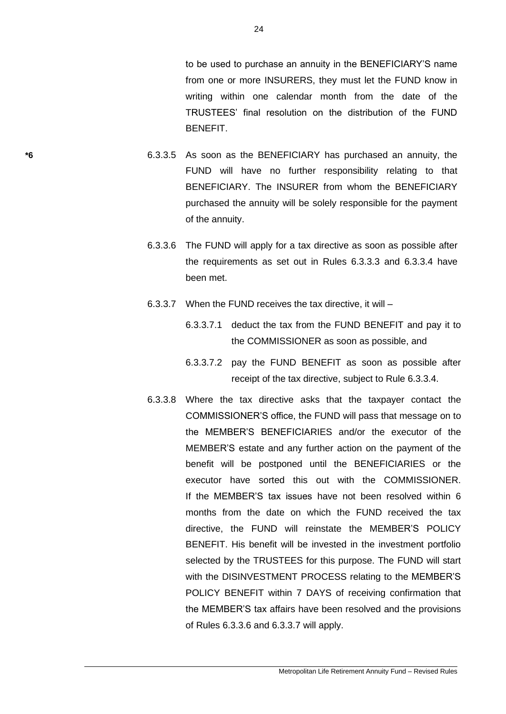to be used to purchase an annuity in the BENEFICIARY'S name from one or more INSURERS, they must let the FUND know in writing within one calendar month from the date of the TRUSTEES' final resolution on the distribution of the FUND **BENEFIT** 

- **\*6** 6.3.3.5 As soon as the BENEFICIARY has purchased an annuity, the FUND will have no further responsibility relating to that BENEFICIARY. The INSURER from whom the BENEFICIARY purchased the annuity will be solely responsible for the payment of the annuity.
	- 6.3.3.6 The FUND will apply for a tax directive as soon as possible after the requirements as set out in Rules 6.3.3.3 and 6.3.3.4 have been met.
	- 6.3.3.7 When the FUND receives the tax directive, it will
		- 6.3.3.7.1 deduct the tax from the FUND BENEFIT and pay it to the COMMISSIONER as soon as possible, and
		- 6.3.3.7.2 pay the FUND BENEFIT as soon as possible after receipt of the tax directive, subject to Rule 6.3.3.4.
	- 6.3.3.8 Where the tax directive asks that the taxpayer contact the COMMISSIONER'S office, the FUND will pass that message on to the MEMBER'S BENEFICIARIES and/or the executor of the MEMBER'S estate and any further action on the payment of the benefit will be postponed until the BENEFICIARIES or the executor have sorted this out with the COMMISSIONER. If the MEMBER'S tax issues have not been resolved within 6 months from the date on which the FUND received the tax directive, the FUND will reinstate the MEMBER'S POLICY BENEFIT. His benefit will be invested in the investment portfolio selected by the TRUSTEES for this purpose. The FUND will start with the DISINVESTMENT PROCESS relating to the MEMBER'S POLICY BENEFIT within 7 DAYS of receiving confirmation that the MEMBER'S tax affairs have been resolved and the provisions of Rules 6.3.3.6 and 6.3.3.7 will apply.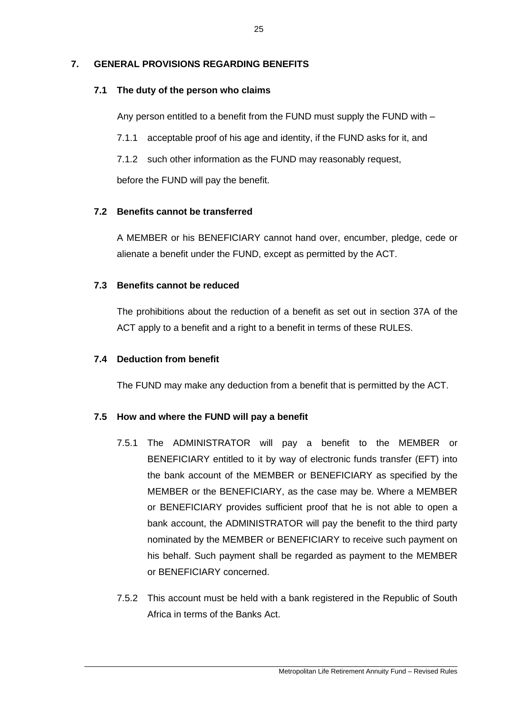# **7. GENERAL PROVISIONS REGARDING BENEFITS**

# **7.1 The duty of the person who claims**

Any person entitled to a benefit from the FUND must supply the FUND with –

- 7.1.1 acceptable proof of his age and identity, if the FUND asks for it, and
- 7.1.2 such other information as the FUND may reasonably request,

before the FUND will pay the benefit.

# **7.2 Benefits cannot be transferred**

A MEMBER or his BENEFICIARY cannot hand over, encumber, pledge, cede or alienate a benefit under the FUND, except as permitted by the ACT.

# **7.3 Benefits cannot be reduced**

The prohibitions about the reduction of a benefit as set out in section 37A of the ACT apply to a benefit and a right to a benefit in terms of these RULES.

# **7.4 Deduction from benefit**

The FUND may make any deduction from a benefit that is permitted by the ACT.

# **7.5 How and where the FUND will pay a benefit**

- 7.5.1 The ADMINISTRATOR will pay a benefit to the MEMBER or BENEFICIARY entitled to it by way of electronic funds transfer (EFT) into the bank account of the MEMBER or BENEFICIARY as specified by the MEMBER or the BENEFICIARY, as the case may be. Where a MEMBER or BENEFICIARY provides sufficient proof that he is not able to open a bank account, the ADMINISTRATOR will pay the benefit to the third party nominated by the MEMBER or BENEFICIARY to receive such payment on his behalf. Such payment shall be regarded as payment to the MEMBER or BENEFICIARY concerned.
- 7.5.2 This account must be held with a bank registered in the Republic of South Africa in terms of the Banks Act.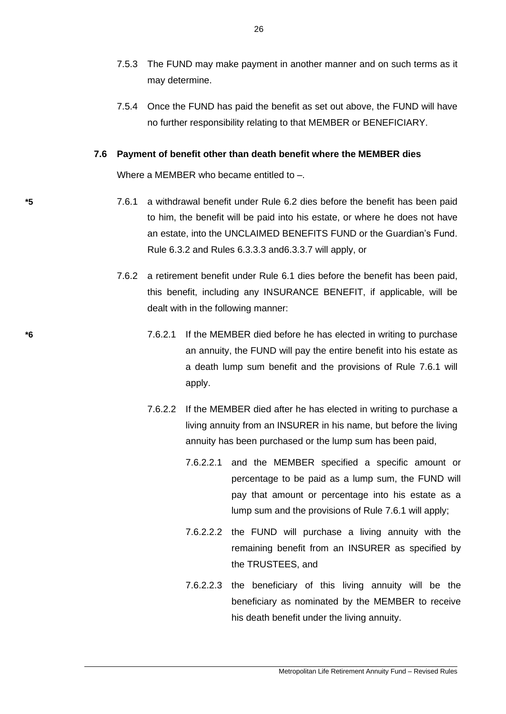- 7.5.3 The FUND may make payment in another manner and on such terms as it may determine.
- 7.5.4 Once the FUND has paid the benefit as set out above, the FUND will have no further responsibility relating to that MEMBER or BENEFICIARY.

#### **7.6 Payment of benefit other than death benefit where the MEMBER dies**

Where a MEMBER who became entitled to –.

- **\*5** 7.6.1 a withdrawal benefit under Rule 6.2 dies before the benefit has been paid to him, the benefit will be paid into his estate, or where he does not have an estate, into the UNCLAIMED BENEFITS FUND or the Guardian's Fund. Rule 6.3.2 and Rules 6.3.3.3 and6.3.3.7 will apply, or
	- 7.6.2 a retirement benefit under Rule 6.1 dies before the benefit has been paid, this benefit, including any INSURANCE BENEFIT, if applicable, will be dealt with in the following manner:
- **\*6** 7.6.2.1 If the MEMBER died before he has elected in writing to purchase an annuity, the FUND will pay the entire benefit into his estate as a death lump sum benefit and the provisions of Rule 7.6.1 will apply.
	- 7.6.2.2 If the MEMBER died after he has elected in writing to purchase a living annuity from an INSURER in his name, but before the living annuity has been purchased or the lump sum has been paid,
		- 7.6.2.2.1 and the MEMBER specified a specific amount or percentage to be paid as a lump sum, the FUND will pay that amount or percentage into his estate as a lump sum and the provisions of Rule 7.6.1 will apply;
		- 7.6.2.2.2 the FUND will purchase a living annuity with the remaining benefit from an INSURER as specified by the TRUSTEES, and
		- 7.6.2.2.3 the beneficiary of this living annuity will be the beneficiary as nominated by the MEMBER to receive his death benefit under the living annuity.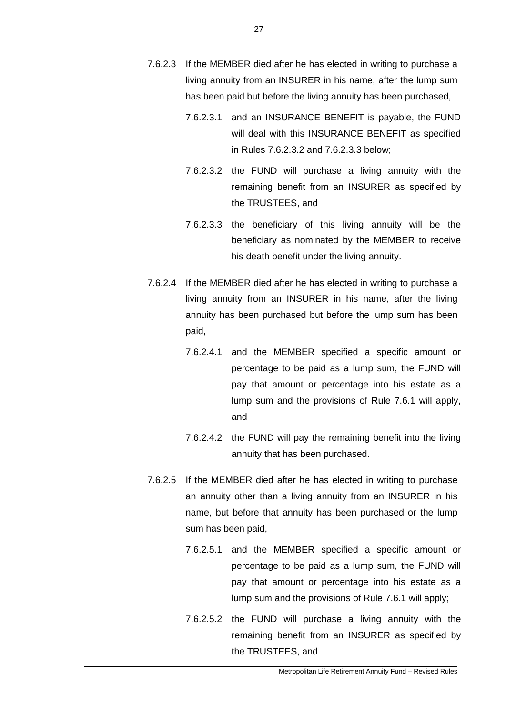- 7.6.2.3 If the MEMBER died after he has elected in writing to purchase a living annuity from an INSURER in his name, after the lump sum has been paid but before the living annuity has been purchased,
	- 7.6.2.3.1 and an INSURANCE BENEFIT is payable, the FUND will deal with this INSURANCE BENEFIT as specified in Rules 7.6.2.3.2 and 7.6.2.3.3 below;
	- 7.6.2.3.2 the FUND will purchase a living annuity with the remaining benefit from an INSURER as specified by the TRUSTEES, and
	- 7.6.2.3.3 the beneficiary of this living annuity will be the beneficiary as nominated by the MEMBER to receive his death benefit under the living annuity.
- 7.6.2.4 If the MEMBER died after he has elected in writing to purchase a living annuity from an INSURER in his name, after the living annuity has been purchased but before the lump sum has been paid,
	- 7.6.2.4.1 and the MEMBER specified a specific amount or percentage to be paid as a lump sum, the FUND will pay that amount or percentage into his estate as a lump sum and the provisions of Rule 7.6.1 will apply, and
	- 7.6.2.4.2 the FUND will pay the remaining benefit into the living annuity that has been purchased.
- 7.6.2.5 If the MEMBER died after he has elected in writing to purchase an annuity other than a living annuity from an INSURER in his name, but before that annuity has been purchased or the lump sum has been paid,
	- 7.6.2.5.1 and the MEMBER specified a specific amount or percentage to be paid as a lump sum, the FUND will pay that amount or percentage into his estate as a lump sum and the provisions of Rule 7.6.1 will apply;
	- 7.6.2.5.2 the FUND will purchase a living annuity with the remaining benefit from an INSURER as specified by the TRUSTEES, and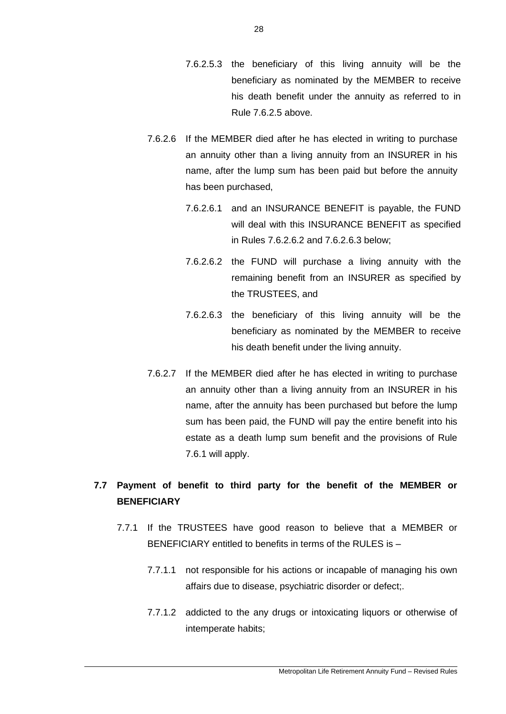- 7.6.2.5.3 the beneficiary of this living annuity will be the beneficiary as nominated by the MEMBER to receive his death benefit under the annuity as referred to in Rule 7.6.2.5 above.
- 7.6.2.6 If the MEMBER died after he has elected in writing to purchase an annuity other than a living annuity from an INSURER in his name, after the lump sum has been paid but before the annuity has been purchased,
	- 7.6.2.6.1 and an INSURANCE BENEFIT is payable, the FUND will deal with this INSURANCE BENEFIT as specified in Rules 7.6.2.6.2 and 7.6.2.6.3 below;
	- 7.6.2.6.2 the FUND will purchase a living annuity with the remaining benefit from an INSURER as specified by the TRUSTEES, and
	- 7.6.2.6.3 the beneficiary of this living annuity will be the beneficiary as nominated by the MEMBER to receive his death benefit under the living annuity.
- 7.6.2.7 If the MEMBER died after he has elected in writing to purchase an annuity other than a living annuity from an INSURER in his name, after the annuity has been purchased but before the lump sum has been paid, the FUND will pay the entire benefit into his estate as a death lump sum benefit and the provisions of Rule 7.6.1 will apply.

# **7.7 Payment of benefit to third party for the benefit of the MEMBER or BENEFICIARY**

- 7.7.1 If the TRUSTEES have good reason to believe that a MEMBER or BENEFICIARY entitled to benefits in terms of the RULES is –
	- 7.7.1.1 not responsible for his actions or incapable of managing his own affairs due to disease, psychiatric disorder or defect;.
	- 7.7.1.2 addicted to the any drugs or intoxicating liquors or otherwise of intemperate habits;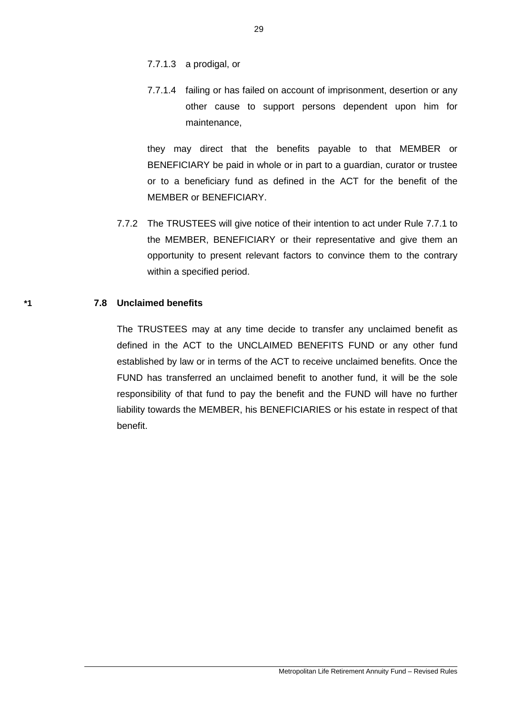- 7.7.1.3 a prodigal, or
- 7.7.1.4 failing or has failed on account of imprisonment, desertion or any other cause to support persons dependent upon him for maintenance,

they may direct that the benefits payable to that MEMBER or BENEFICIARY be paid in whole or in part to a guardian, curator or trustee or to a beneficiary fund as defined in the ACT for the benefit of the MEMBER or BENEFICIARY.

7.7.2 The TRUSTEES will give notice of their intention to act under Rule 7.7.1 to the MEMBER, BENEFICIARY or their representative and give them an opportunity to present relevant factors to convince them to the contrary within a specified period.

#### **\*1 7.8 Unclaimed benefits**

The TRUSTEES may at any time decide to transfer any unclaimed benefit as defined in the ACT to the UNCLAIMED BENEFITS FUND or any other fund established by law or in terms of the ACT to receive unclaimed benefits. Once the FUND has transferred an unclaimed benefit to another fund, it will be the sole responsibility of that fund to pay the benefit and the FUND will have no further liability towards the MEMBER, his BENEFICIARIES or his estate in respect of that benefit.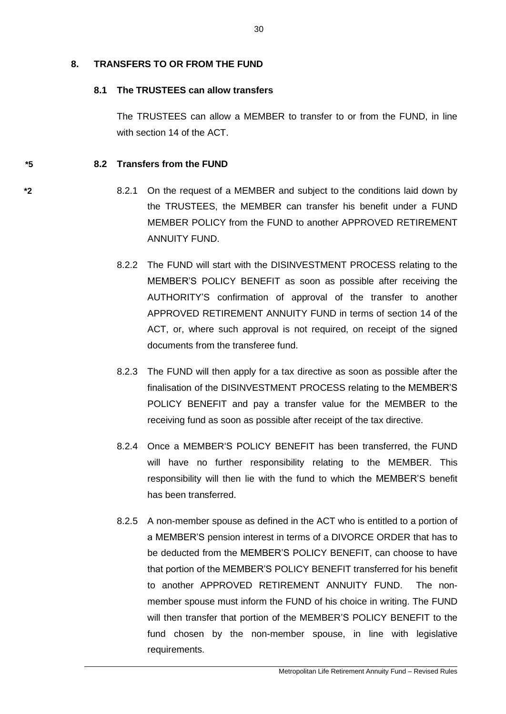## **8. TRANSFERS TO OR FROM THE FUND**

# **8.1 The TRUSTEES can allow transfers**

The TRUSTEES can allow a MEMBER to transfer to or from the FUND, in line with section 14 of the ACT.

# **\*5 8.2 Transfers from the FUND**

- **\*2** 8.2.1 On the request of a MEMBER and subject to the conditions laid down by the TRUSTEES, the MEMBER can transfer his benefit under a FUND MEMBER POLICY from the FUND to another APPROVED RETIREMENT ANNUITY FUND.
	- 8.2.2 The FUND will start with the DISINVESTMENT PROCESS relating to the MEMBER'S POLICY BENEFIT as soon as possible after receiving the AUTHORITY'S confirmation of approval of the transfer to another APPROVED RETIREMENT ANNUITY FUND in terms of section 14 of the ACT, or, where such approval is not required, on receipt of the signed documents from the transferee fund.
	- 8.2.3 The FUND will then apply for a tax directive as soon as possible after the finalisation of the DISINVESTMENT PROCESS relating to the MEMBER'S POLICY BENEFIT and pay a transfer value for the MEMBER to the receiving fund as soon as possible after receipt of the tax directive.
	- 8.2.4 Once a MEMBER'S POLICY BENEFIT has been transferred, the FUND will have no further responsibility relating to the MEMBER. This responsibility will then lie with the fund to which the MEMBER'S benefit has been transferred.
	- 8.2.5 A non-member spouse as defined in the ACT who is entitled to a portion of a MEMBER'S pension interest in terms of a DIVORCE ORDER that has to be deducted from the MEMBER'S POLICY BENEFIT, can choose to have that portion of the MEMBER'S POLICY BENEFIT transferred for his benefit to another APPROVED RETIREMENT ANNUITY FUND. The nonmember spouse must inform the FUND of his choice in writing. The FUND will then transfer that portion of the MEMBER'S POLICY BENEFIT to the fund chosen by the non-member spouse, in line with legislative requirements.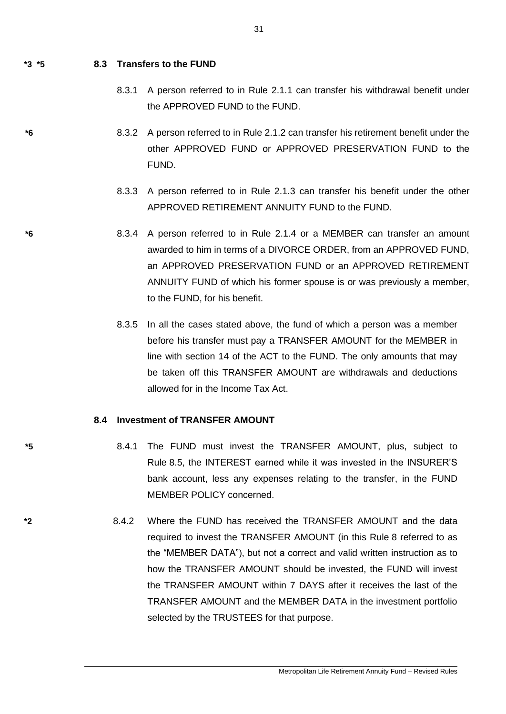## **\*3 \*5 8.3 Transfers to the FUND**

- 8.3.1 A person referred to in Rule 2.1.1 can transfer his withdrawal benefit under the APPROVED FUND to the FUND.
- **\*6** 8.3.2 A person referred to in Rule 2.1.2 can transfer his retirement benefit under the other APPROVED FUND or APPROVED PRESERVATION FUND to the FUND.
	- 8.3.3 A person referred to in Rule 2.1.3 can transfer his benefit under the other APPROVED RETIREMENT ANNUITY FUND to the FUND.
- **\*6** 8.3.4 A person referred to in Rule 2.1.4 or a MEMBER can transfer an amount awarded to him in terms of a DIVORCE ORDER, from an APPROVED FUND, an APPROVED PRESERVATION FUND or an APPROVED RETIREMENT ANNUITY FUND of which his former spouse is or was previously a member, to the FUND, for his benefit.
	- 8.3.5 In all the cases stated above, the fund of which a person was a member before his transfer must pay a TRANSFER AMOUNT for the MEMBER in line with section 14 of the ACT to the FUND. The only amounts that may be taken off this TRANSFER AMOUNT are withdrawals and deductions allowed for in the Income Tax Act.

## **8.4 Investment of TRANSFER AMOUNT**

- **\*5** 8.4.1 The FUND must invest the TRANSFER AMOUNT, plus, subject to Rule 8.5, the INTEREST earned while it was invested in the INSURER'S bank account, less any expenses relating to the transfer, in the FUND MEMBER POLICY concerned.
- **\*2** 8.4.2 Where the FUND has received the TRANSFER AMOUNT and the data required to invest the TRANSFER AMOUNT (in this Rule 8 referred to as the "MEMBER DATA"), but not a correct and valid written instruction as to how the TRANSFER AMOUNT should be invested, the FUND will invest the TRANSFER AMOUNT within 7 DAYS after it receives the last of the TRANSFER AMOUNT and the MEMBER DATA in the investment portfolio selected by the TRUSTEES for that purpose.

31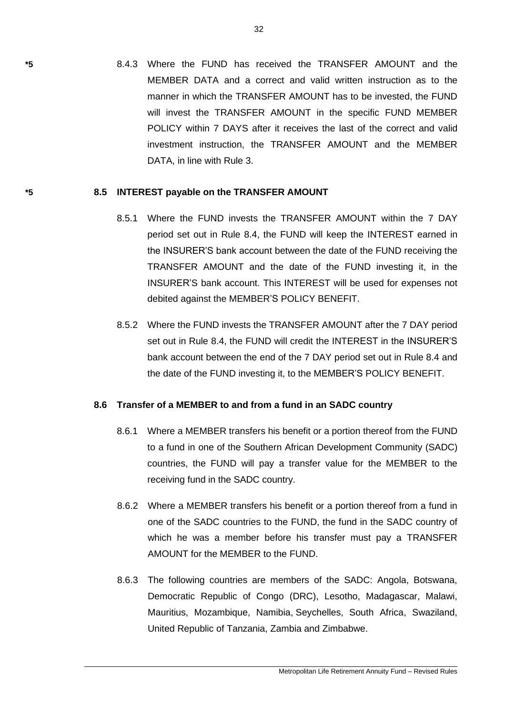**\*5** 8.4.3 Where the FUND has received the TRANSFER AMOUNT and the MEMBER DATA and a correct and valid written instruction as to the manner in which the TRANSFER AMOUNT has to be invested, the FUND will invest the TRANSFER AMOUNT in the specific FUND MEMBER POLICY within 7 DAYS after it receives the last of the correct and valid investment instruction, the TRANSFER AMOUNT and the MEMBER DATA, in line with Rule 3.

#### **\*5 8.5 INTEREST payable on the TRANSFER AMOUNT**

- 8.5.1 Where the FUND invests the TRANSFER AMOUNT within the 7 DAY period set out in Rule 8.4, the FUND will keep the INTEREST earned in the INSURER'S bank account between the date of the FUND receiving the TRANSFER AMOUNT and the date of the FUND investing it, in the INSURER'S bank account. This INTEREST will be used for expenses not debited against the MEMBER'S POLICY BENEFIT.
- 8.5.2 Where the FUND invests the TRANSFER AMOUNT after the 7 DAY period set out in Rule 8.4, the FUND will credit the INTEREST in the INSURER'S bank account between the end of the 7 DAY period set out in Rule 8.4 and the date of the FUND investing it, to the MEMBER'S POLICY BENEFIT.

## **8.6 Transfer of a MEMBER to and from a fund in an SADC country**

- 8.6.1 Where a MEMBER transfers his benefit or a portion thereof from the FUND to a fund in one of the Southern African Development Community (SADC) countries, the FUND will pay a transfer value for the MEMBER to the receiving fund in the SADC country.
- 8.6.2 Where a MEMBER transfers his benefit or a portion thereof from a fund in one of the SADC countries to the FUND, the fund in the SADC country of which he was a member before his transfer must pay a TRANSFER AMOUNT for the MEMBER to the FUND.
- 8.6.3 The following countries are members of the SADC: [Angola,](http://www.sadc.int/) [Botswana,](http://www.sadc.int/) [Democratic Republic of Congo](http://www.sadc.int/) (DRC), [Lesotho,](http://www.sadc.int/) [Madagascar,](http://www.sadc.int/) [Malawi,](http://www.sadc.int/) [Mauritius,](http://www.sadc.int/) [Mozambique,](http://www.sadc.int/) [Namibia,](http://www.sadc.int/) [Seychelles,](http://www.sadc.int/) [South Africa,](http://www.sadc.int/) [Swaziland,](http://www.sadc.int/) [United Republic of Tanzania, Zambia](http://www.sadc.int/) and [Zimbabwe.](http://www.sadc.int/)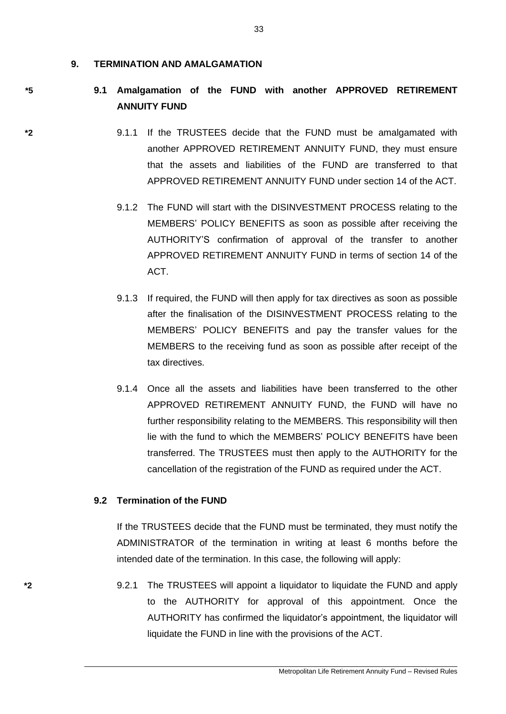#### **9. TERMINATION AND AMALGAMATION**

# **\*5 9.1 Amalgamation of the FUND with another APPROVED RETIREMENT ANNUITY FUND**

- **\*2** 9.1.1 If the TRUSTEES decide that the FUND must be amalgamated with another APPROVED RETIREMENT ANNUITY FUND, they must ensure that the assets and liabilities of the FUND are transferred to that APPROVED RETIREMENT ANNUITY FUND under section 14 of the ACT.
	- 9.1.2 The FUND will start with the DISINVESTMENT PROCESS relating to the MEMBERS' POLICY BENEFITS as soon as possible after receiving the AUTHORITY'S confirmation of approval of the transfer to another APPROVED RETIREMENT ANNUITY FUND in terms of section 14 of the ACT.
	- 9.1.3 If required, the FUND will then apply for tax directives as soon as possible after the finalisation of the DISINVESTMENT PROCESS relating to the MEMBERS' POLICY BENEFITS and pay the transfer values for the MEMBERS to the receiving fund as soon as possible after receipt of the tax directives.
	- 9.1.4 Once all the assets and liabilities have been transferred to the other APPROVED RETIREMENT ANNUITY FUND, the FUND will have no further responsibility relating to the MEMBERS. This responsibility will then lie with the fund to which the MEMBERS' POLICY BENEFITS have been transferred. The TRUSTEES must then apply to the AUTHORITY for the cancellation of the registration of the FUND as required under the ACT.

## **9.2 Termination of the FUND**

If the TRUSTEES decide that the FUND must be terminated, they must notify the ADMINISTRATOR of the termination in writing at least 6 months before the intended date of the termination. In this case, the following will apply:

**\*2** 9.2.1 The TRUSTEES will appoint a liquidator to liquidate the FUND and apply to the AUTHORITY for approval of this appointment. Once the AUTHORITY has confirmed the liquidator's appointment, the liquidator will liquidate the FUND in line with the provisions of the ACT.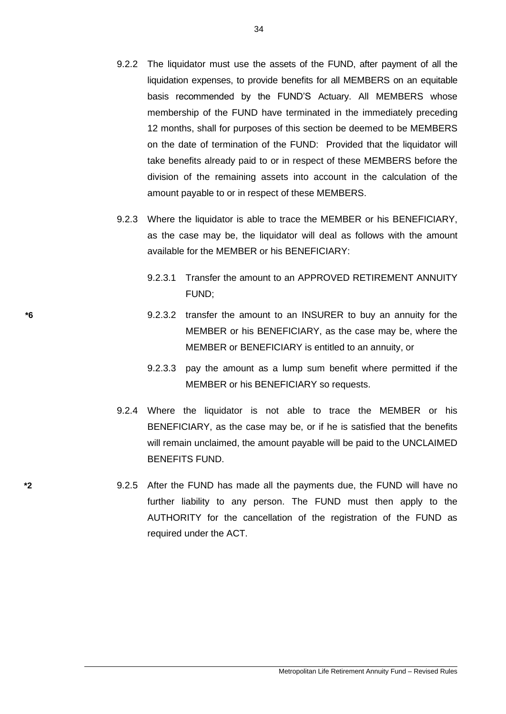- 9.2.2 The liquidator must use the assets of the FUND, after payment of all the liquidation expenses, to provide benefits for all MEMBERS on an equitable basis recommended by the FUND'S Actuary. All MEMBERS whose membership of the FUND have terminated in the immediately preceding 12 months, shall for purposes of this section be deemed to be MEMBERS on the date of termination of the FUND: Provided that the liquidator will take benefits already paid to or in respect of these MEMBERS before the division of the remaining assets into account in the calculation of the amount payable to or in respect of these MEMBERS.
- 9.2.3 Where the liquidator is able to trace the MEMBER or his BENEFICIARY, as the case may be, the liquidator will deal as follows with the amount available for the MEMBER or his BENEFICIARY:
	- 9.2.3.1 Transfer the amount to an APPROVED RETIREMENT ANNUITY FUND;
- **\*6** 9.2.3.2 transfer the amount to an INSURER to buy an annuity for the MEMBER or his BENEFICIARY, as the case may be, where the MEMBER or BENEFICIARY is entitled to an annuity, or
	- 9.2.3.3 pay the amount as a lump sum benefit where permitted if the MEMBER or his BENEFICIARY so requests.
	- 9.2.4 Where the liquidator is not able to trace the MEMBER or his BENEFICIARY, as the case may be, or if he is satisfied that the benefits will remain unclaimed, the amount payable will be paid to the UNCLAIMED BENEFITS FUND.
- **\*2** 9.2.5 After the FUND has made all the payments due, the FUND will have no further liability to any person. The FUND must then apply to the AUTHORITY for the cancellation of the registration of the FUND as required under the ACT.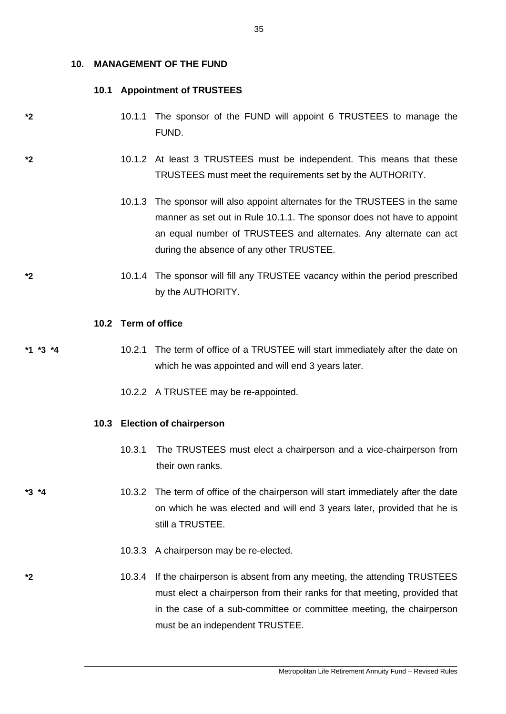#### **10. MANAGEMENT OF THE FUND**

### **10.1 Appointment of TRUSTEES**

- **\*2** 10.1.1 The sponsor of the FUND will appoint 6 TRUSTEES to manage the FUND.
- **\*2** 10.1.2 At least 3 TRUSTEES must be independent. This means that these TRUSTEES must meet the requirements set by the AUTHORITY.
	- 10.1.3 The sponsor will also appoint alternates for the TRUSTEES in the same manner as set out in Rule 10.1.1. The sponsor does not have to appoint an equal number of TRUSTEES and alternates. Any alternate can act during the absence of any other TRUSTEE.
- **\*2** 10.1.4 The sponsor will fill any TRUSTEE vacancy within the period prescribed by the AUTHORITY.

#### **10.2 Term of office**

**\*1 \*3 \*4** 10.2.1 The term of office of a TRUSTEE will start immediately after the date on which he was appointed and will end 3 years later.

10.2.2 A TRUSTEE may be re-appointed.

## **10.3 Election of chairperson**

10.3.1 The TRUSTEES must elect a chairperson and a vice-chairperson from their own ranks.

**\*3 \*4** 10.3.2 The term of office of the chairperson will start immediately after the date on which he was elected and will end 3 years later, provided that he is still a TRUSTEE.

- 10.3.3 A chairperson may be re-elected.
- **\*2** 10.3.4 If the chairperson is absent from any meeting, the attending TRUSTEES must elect a chairperson from their ranks for that meeting, provided that in the case of a sub-committee or committee meeting, the chairperson must be an independent TRUSTEE.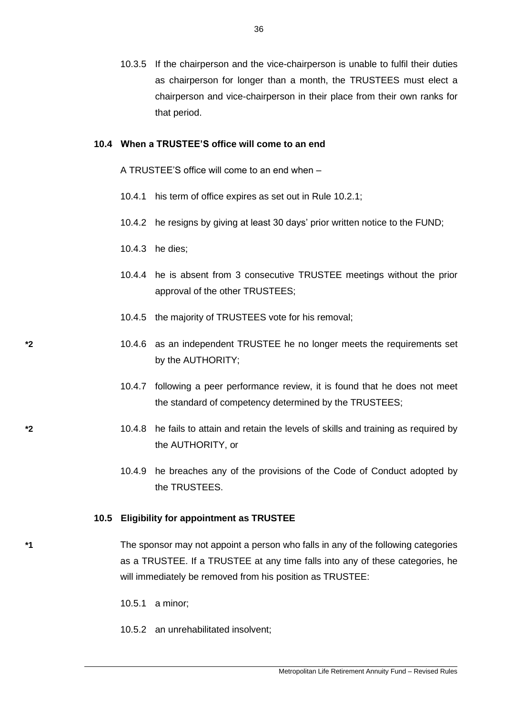10.3.5 If the chairperson and the vice-chairperson is unable to fulfil their duties as chairperson for longer than a month, the TRUSTEES must elect a chairperson and vice-chairperson in their place from their own ranks for that period.

#### **10.4 When a TRUSTEE'S office will come to an end**

A TRUSTEE'S office will come to an end when –

- 10.4.1 his term of office expires as set out in Rule 10.2.1;
- 10.4.2 he resigns by giving at least 30 days' prior written notice to the FUND;
- 10.4.3 he dies;
- 10.4.4 he is absent from 3 consecutive TRUSTEE meetings without the prior approval of the other TRUSTEES;
- 10.4.5 the majority of TRUSTEES vote for his removal;
- **\*2** 10.4.6 as an independent TRUSTEE he no longer meets the requirements set by the AUTHORITY;
	- 10.4.7 following a peer performance review, it is found that he does not meet the standard of competency determined by the TRUSTEES;
- **\*2** 10.4.8 he fails to attain and retain the levels of skills and training as required by the AUTHORITY, or
	- 10.4.9 he breaches any of the provisions of the Code of Conduct adopted by the TRUSTEES.

#### **10.5 Eligibility for appointment as TRUSTEE**

**\*1** The sponsor may not appoint a person who falls in any of the following categories as a TRUSTEE. If a TRUSTEE at any time falls into any of these categories, he will immediately be removed from his position as TRUSTEE:

- 10.5.1 a minor;
- 10.5.2 an unrehabilitated insolvent;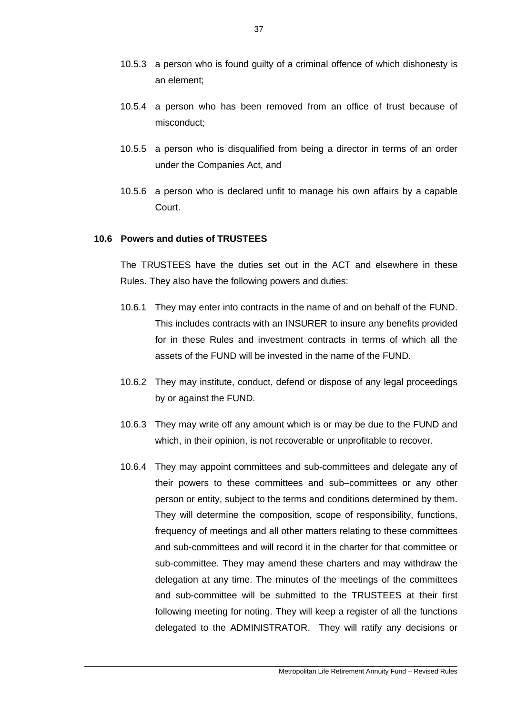- 10.5.3 a person who is found guilty of a criminal offence of which dishonesty is an element;
- 10.5.4 a person who has been removed from an office of trust because of misconduct;
- 10.5.5 a person who is disqualified from being a director in terms of an order under the Companies Act, and
- 10.5.6 a person who is declared unfit to manage his own affairs by a capable Court.

#### **10.6 Powers and duties of TRUSTEES**

The TRUSTEES have the duties set out in the ACT and elsewhere in these Rules. They also have the following powers and duties:

- 10.6.1 They may enter into contracts in the name of and on behalf of the FUND. This includes contracts with an INSURER to insure any benefits provided for in these Rules and investment contracts in terms of which all the assets of the FUND will be invested in the name of the FUND.
- 10.6.2 They may institute, conduct, defend or dispose of any legal proceedings by or against the FUND.
- 10.6.3 They may write off any amount which is or may be due to the FUND and which, in their opinion, is not recoverable or unprofitable to recover.
- 10.6.4 They may appoint committees and sub-committees and delegate any of their powers to these committees and sub–committees or any other person or entity, subject to the terms and conditions determined by them. They will determine the composition, scope of responsibility, functions, frequency of meetings and all other matters relating to these committees and sub-committees and will record it in the charter for that committee or sub-committee. They may amend these charters and may withdraw the delegation at any time. The minutes of the meetings of the committees and sub-committee will be submitted to the TRUSTEES at their first following meeting for noting. They will keep a register of all the functions delegated to the ADMINISTRATOR. They will ratify any decisions or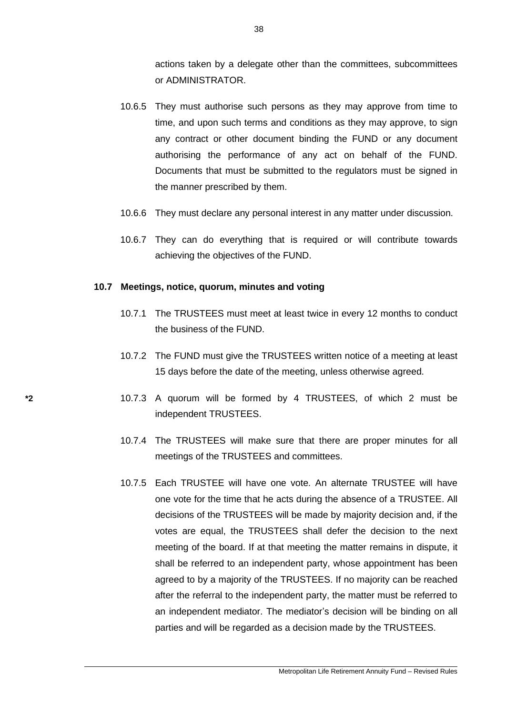actions taken by a delegate other than the committees, subcommittees or ADMINISTRATOR.

- 10.6.5 They must authorise such persons as they may approve from time to time, and upon such terms and conditions as they may approve, to sign any contract or other document binding the FUND or any document authorising the performance of any act on behalf of the FUND. Documents that must be submitted to the regulators must be signed in the manner prescribed by them.
- 10.6.6 They must declare any personal interest in any matter under discussion.
- 10.6.7 They can do everything that is required or will contribute towards achieving the objectives of the FUND.

#### **10.7 Meetings, notice, quorum, minutes and voting**

- 10.7.1 The TRUSTEES must meet at least twice in every 12 months to conduct the business of the FUND.
- 10.7.2 The FUND must give the TRUSTEES written notice of a meeting at least 15 days before the date of the meeting, unless otherwise agreed.
- **\*2** 10.7.3 A quorum will be formed by 4 TRUSTEES, of which 2 must be independent TRUSTEES.
	- 10.7.4 The TRUSTEES will make sure that there are proper minutes for all meetings of the TRUSTEES and committees.
	- 10.7.5 Each TRUSTEE will have one vote. An alternate TRUSTEE will have one vote for the time that he acts during the absence of a TRUSTEE. All decisions of the TRUSTEES will be made by majority decision and, if the votes are equal, the TRUSTEES shall defer the decision to the next meeting of the board. If at that meeting the matter remains in dispute, it shall be referred to an independent party, whose appointment has been agreed to by a majority of the TRUSTEES. If no majority can be reached after the referral to the independent party, the matter must be referred to an independent mediator. The mediator's decision will be binding on all parties and will be regarded as a decision made by the TRUSTEES.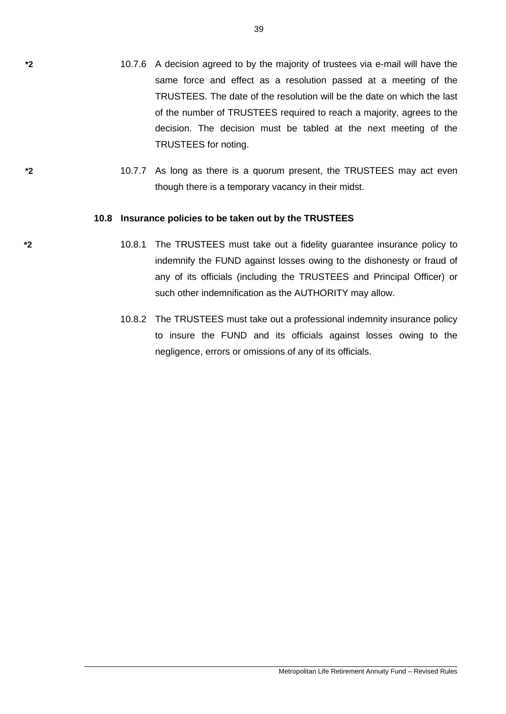- **\*2** 10.7.6 A decision agreed to by the majority of trustees via e-mail will have the same force and effect as a resolution passed at a meeting of the TRUSTEES. The date of the resolution will be the date on which the last of the number of TRUSTEES required to reach a majority, agrees to the decision. The decision must be tabled at the next meeting of the TRUSTEES for noting.
- **\*2** 10.7.7 As long as there is a quorum present, the TRUSTEES may act even though there is a temporary vacancy in their midst.

#### **10.8 Insurance policies to be taken out by the TRUSTEES**

- **\*2** 10.8.1 The TRUSTEES must take out a fidelity guarantee insurance policy to indemnify the FUND against losses owing to the dishonesty or fraud of any of its officials (including the TRUSTEES and Principal Officer) or such other indemnification as the AUTHORITY may allow.
	- 10.8.2 The TRUSTEES must take out a professional indemnity insurance policy to insure the FUND and its officials against losses owing to the negligence, errors or omissions of any of its officials.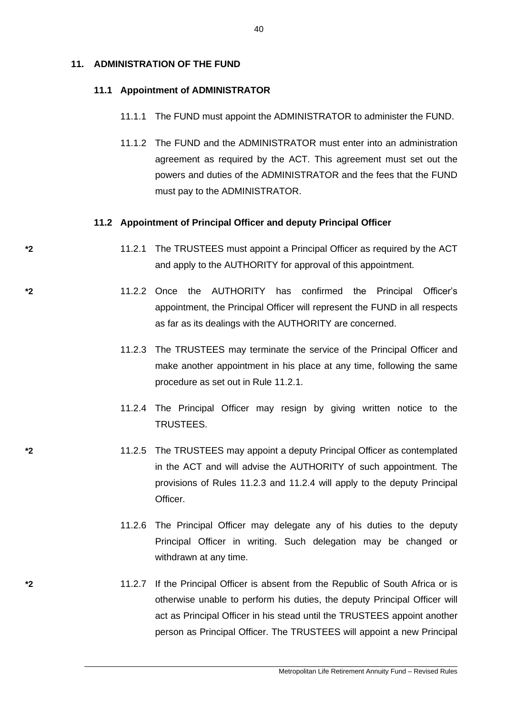#### **11. ADMINISTRATION OF THE FUND**

#### **11.1 Appointment of ADMINISTRATOR**

- 11.1.1 The FUND must appoint the ADMINISTRATOR to administer the FUND.
- 11.1.2 The FUND and the ADMINISTRATOR must enter into an administration agreement as required by the ACT. This agreement must set out the powers and duties of the ADMINISTRATOR and the fees that the FUND must pay to the ADMINISTRATOR.

#### **11.2 Appointment of Principal Officer and deputy Principal Officer**

- **\*2** 11.2.1 The TRUSTEES must appoint a Principal Officer as required by the ACT and apply to the AUTHORITY for approval of this appointment.
- **\*2** 11.2.2 Once the AUTHORITY has confirmed the Principal Officer's appointment, the Principal Officer will represent the FUND in all respects as far as its dealings with the AUTHORITY are concerned.
	- 11.2.3 The TRUSTEES may terminate the service of the Principal Officer and make another appointment in his place at any time, following the same procedure as set out in Rule 11.2.1.
	- 11.2.4 The Principal Officer may resign by giving written notice to the TRUSTEES.
- **\*2** 11.2.5 The TRUSTEES may appoint a deputy Principal Officer as contemplated in the ACT and will advise the AUTHORITY of such appointment. The provisions of Rules 11.2.3 and 11.2.4 will apply to the deputy Principal Officer.
	- 11.2.6 The Principal Officer may delegate any of his duties to the deputy Principal Officer in writing. Such delegation may be changed or withdrawn at any time.
- **\*2** 11.2.7 If the Principal Officer is absent from the Republic of South Africa or is otherwise unable to perform his duties, the deputy Principal Officer will act as Principal Officer in his stead until the TRUSTEES appoint another person as Principal Officer. The TRUSTEES will appoint a new Principal

40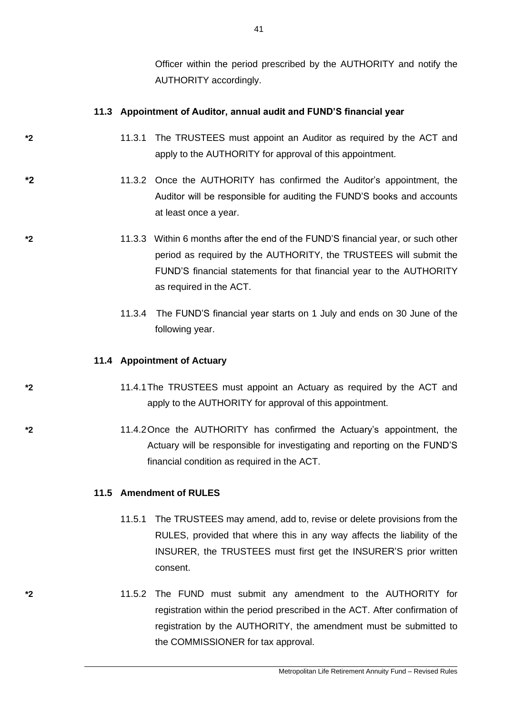Officer within the period prescribed by the AUTHORITY and notify the AUTHORITY accordingly.

# **11.3 Appointment of Auditor, annual audit and FUND'S financial year**

- **\*2** 11.3.1 The TRUSTEES must appoint an Auditor as required by the ACT and apply to the AUTHORITY for approval of this appointment.
- **\*2** 11.3.2 Once the AUTHORITY has confirmed the Auditor's appointment, the Auditor will be responsible for auditing the FUND'S books and accounts at least once a year.
- **\*2** 11.3.3 Within 6 months after the end of the FUND'S financial year, or such other period as required by the AUTHORITY, the TRUSTEES will submit the FUND'S financial statements for that financial year to the AUTHORITY as required in the ACT.
	- 11.3.4 The FUND'S financial year starts on 1 July and ends on 30 June of the following year.

## **11.4 Appointment of Actuary**

- **\*2** 11.4.1The TRUSTEES must appoint an Actuary as required by the ACT and apply to the AUTHORITY for approval of this appointment.
- **\*2** 11.4.2Once the AUTHORITY has confirmed the Actuary's appointment, the Actuary will be responsible for investigating and reporting on the FUND'S financial condition as required in the ACT.

## **11.5 Amendment of RULES**

- 11.5.1 The TRUSTEES may amend, add to, revise or delete provisions from the RULES, provided that where this in any way affects the liability of the INSURER, the TRUSTEES must first get the INSURER'S prior written consent.
- **\*2** 11.5.2 The FUND must submit any amendment to the AUTHORITY for registration within the period prescribed in the ACT. After confirmation of registration by the AUTHORITY, the amendment must be submitted to the COMMISSIONER for tax approval.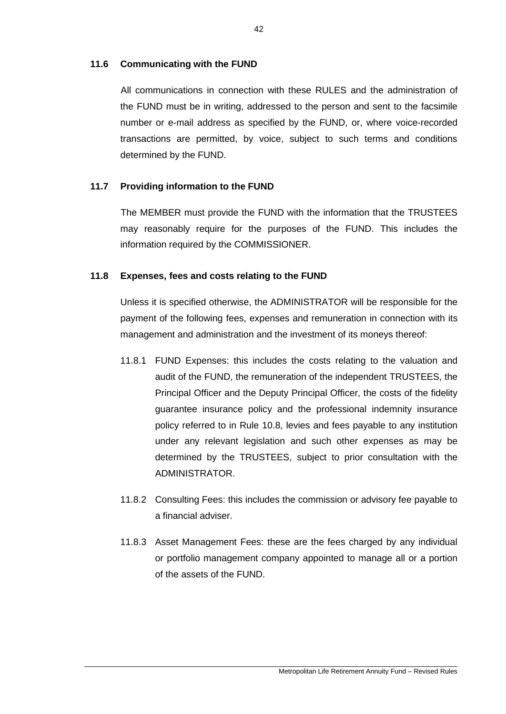## **11.6 Communicating with the FUND**

All communications in connection with these RULES and the administration of the FUND must be in writing, addressed to the person and sent to the facsimile number or e-mail address as specified by the FUND, or, where voice-recorded transactions are permitted, by voice, subject to such terms and conditions determined by the FUND.

# **11.7 Providing information to the FUND**

The MEMBER must provide the FUND with the information that the TRUSTEES may reasonably require for the purposes of the FUND. This includes the information required by the COMMISSIONER.

# **11.8 Expenses, fees and costs relating to the FUND**

Unless it is specified otherwise, the ADMINISTRATOR will be responsible for the payment of the following fees, expenses and remuneration in connection with its management and administration and the investment of its moneys thereof:

- 11.8.1 FUND Expenses: this includes the costs relating to the valuation and audit of the FUND, the remuneration of the independent TRUSTEES, the Principal Officer and the Deputy Principal Officer, the costs of the fidelity guarantee insurance policy and the professional indemnity insurance policy referred to in Rule 10.8, levies and fees payable to any institution under any relevant legislation and such other expenses as may be determined by the TRUSTEES, subject to prior consultation with the ADMINISTRATOR.
- 11.8.2 Consulting Fees: this includes the commission or advisory fee payable to a financial adviser.
- 11.8.3 Asset Management Fees: these are the fees charged by any individual or portfolio management company appointed to manage all or a portion of the assets of the FUND.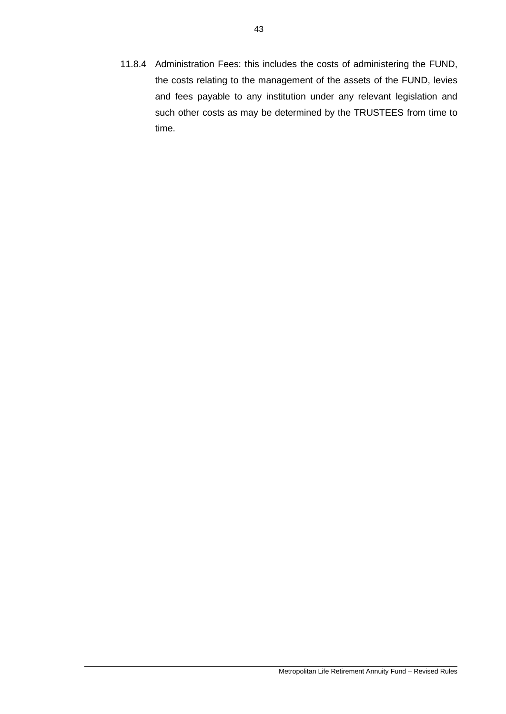11.8.4 Administration Fees: this includes the costs of administering the FUND, the costs relating to the management of the assets of the FUND, levies and fees payable to any institution under any relevant legislation and such other costs as may be determined by the TRUSTEES from time to time.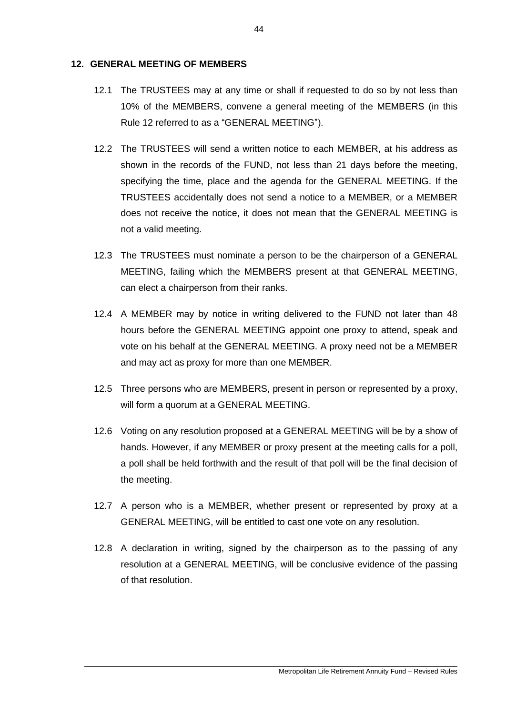### **12. GENERAL MEETING OF MEMBERS**

- 12.1 The TRUSTEES may at any time or shall if requested to do so by not less than 10% of the MEMBERS, convene a general meeting of the MEMBERS (in this Rule 12 referred to as a "GENERAL MEETING").
- 12.2 The TRUSTEES will send a written notice to each MEMBER, at his address as shown in the records of the FUND, not less than 21 days before the meeting, specifying the time, place and the agenda for the GENERAL MEETING. If the TRUSTEES accidentally does not send a notice to a MEMBER, or a MEMBER does not receive the notice, it does not mean that the GENERAL MEETING is not a valid meeting.
- 12.3 The TRUSTEES must nominate a person to be the chairperson of a GENERAL MEETING, failing which the MEMBERS present at that GENERAL MEETING, can elect a chairperson from their ranks.
- 12.4 A MEMBER may by notice in writing delivered to the FUND not later than 48 hours before the GENERAL MEETING appoint one proxy to attend, speak and vote on his behalf at the GENERAL MEETING. A proxy need not be a MEMBER and may act as proxy for more than one MEMBER.
- 12.5 Three persons who are MEMBERS, present in person or represented by a proxy, will form a quorum at a GENERAL MEETING.
- 12.6 Voting on any resolution proposed at a GENERAL MEETING will be by a show of hands. However, if any MEMBER or proxy present at the meeting calls for a poll, a poll shall be held forthwith and the result of that poll will be the final decision of the meeting.
- 12.7 A person who is a MEMBER, whether present or represented by proxy at a GENERAL MEETING, will be entitled to cast one vote on any resolution.
- 12.8 A declaration in writing, signed by the chairperson as to the passing of any resolution at a GENERAL MEETING, will be conclusive evidence of the passing of that resolution.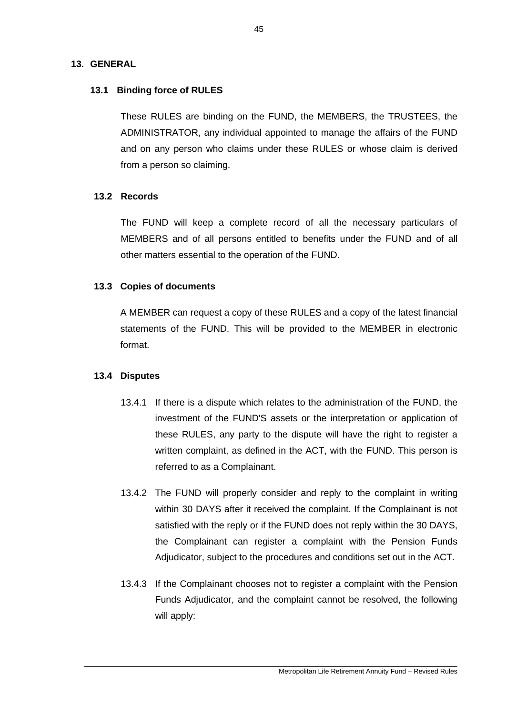## **13. GENERAL**

# **13.1 Binding force of RULES**

These RULES are binding on the FUND, the MEMBERS, the TRUSTEES, the ADMINISTRATOR, any individual appointed to manage the affairs of the FUND and on any person who claims under these RULES or whose claim is derived from a person so claiming.

## **13.2 Records**

The FUND will keep a complete record of all the necessary particulars of MEMBERS and of all persons entitled to benefits under the FUND and of all other matters essential to the operation of the FUND.

# **13.3 Copies of documents**

A MEMBER can request a copy of these RULES and a copy of the latest financial statements of the FUND. This will be provided to the MEMBER in electronic format.

## **13.4 Disputes**

- 13.4.1 If there is a dispute which relates to the administration of the FUND, the investment of the FUND'S assets or the interpretation or application of these RULES, any party to the dispute will have the right to register a written complaint, as defined in the ACT, with the FUND. This person is referred to as a Complainant.
- 13.4.2 The FUND will properly consider and reply to the complaint in writing within 30 DAYS after it received the complaint. If the Complainant is not satisfied with the reply or if the FUND does not reply within the 30 DAYS, the Complainant can register a complaint with the Pension Funds Adjudicator, subject to the procedures and conditions set out in the ACT.
- 13.4.3 If the Complainant chooses not to register a complaint with the Pension Funds Adjudicator, and the complaint cannot be resolved, the following will apply: